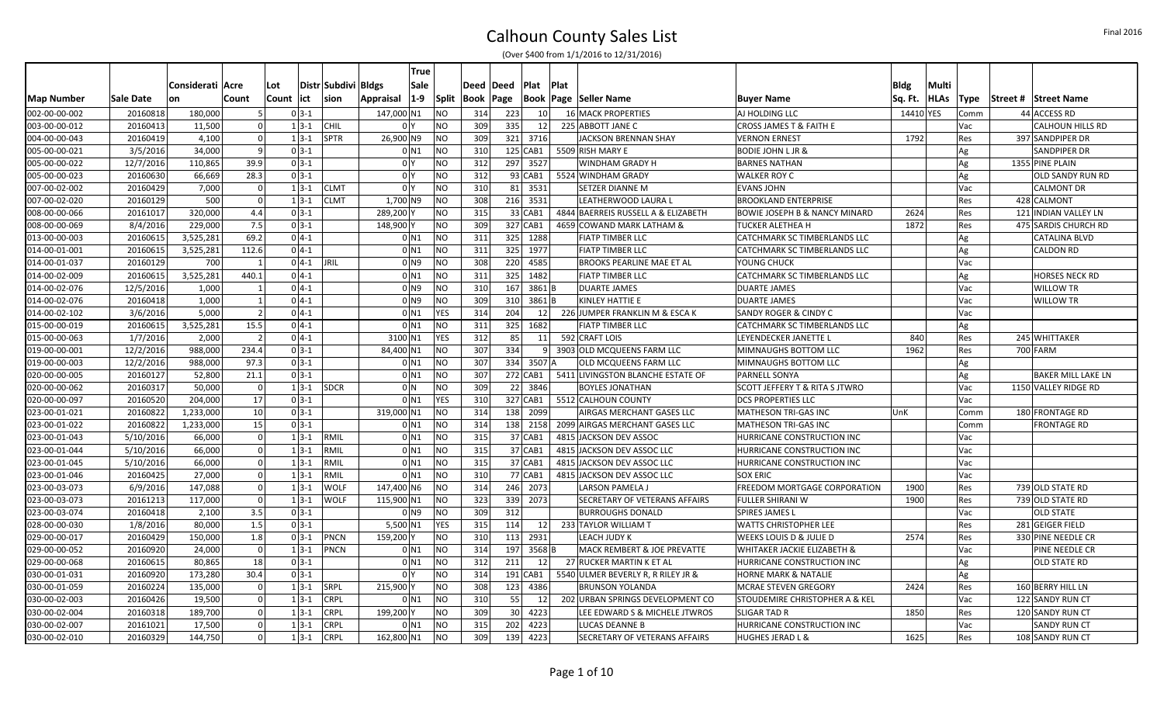|                   |           |                  |                |               |                       | True                 |              |             |     |                        |      |                                     |                                          |             |             |             |          |                       |
|-------------------|-----------|------------------|----------------|---------------|-----------------------|----------------------|--------------|-------------|-----|------------------------|------|-------------------------------------|------------------------------------------|-------------|-------------|-------------|----------|-----------------------|
|                   |           | Considerati Acre |                | Lot           | Distr Subdivi   Bldgs | Sale                 |              | Deed  Deed  |     | Plat                   | Plat |                                     |                                          | <b>Bldg</b> | Multi       |             |          |                       |
| <b>Map Number</b> | Sale Date | on               | Count          | lict<br>Count | sion                  | $ 1-9 $<br>Appraisal | <b>Split</b> | Book   Page |     |                        |      | <b>Book   Page   Seller Name</b>    | <b>Buyer Name</b>                        | Sq. Ft.     | <b>HLAs</b> | <b>Type</b> | Street # | <b>Street Name</b>    |
| 002-00-00-002     | 20160818  | 180,000          |                | $0 3-1$       |                       | 147,000 N1           | <b>NO</b>    | 314         | 223 | - 10                   |      | 16 MACK PROPERTIES                  | AJ HOLDING LLC                           | 14410       | <b>YES</b>  | Comm        |          | 44 ACCESS RD          |
| 003-00-00-012     | 20160413  | 11,500           |                | $1 \, 3 - 1$  | <b>CHIL</b>           | 0 <sup>Y</sup>       | <b>NO</b>    | 309         | 335 | 12                     |      | 225 ABBOTT JANE C                   | CROSS JAMES T & FAITH E                  |             |             | Vac         |          | CALHOUN HILLS RD      |
| 004-00-00-043     | 20160419  | 4,100            |                | $1 \, 3 - 1$  | <b>SPTR</b>           | 26,900 N9            | <b>NO</b>    | 309         |     | 321 3716               |      | JACKSON BRENNAN SHAY                | <b>VERNON ERNEST</b>                     | 1792        |             | Res         |          | 397 SANDPIPER DR      |
| 005-00-00-021     | 3/5/2016  | 34,000           | -9             | $0 3-1$       |                       | $0$ N1               | <b>NO</b>    | 310         |     | 125 CAB1               |      | 5509 RISH MARY E                    | <b>BODIE JOHN L JR &amp;</b>             |             |             | Ag          |          | SANDPIPER DR          |
| 005-00-00-022     | 12/7/2016 | 110,865          | 39.9           | $0 3-1$       |                       | 0 <sup>1</sup>       | <b>NO</b>    | 312         |     | 297 3527               |      | WINDHAM GRADY H                     | <b>BARNES NATHAN</b>                     |             |             | Ag          |          | 1355 PINE PLAIN       |
| 005-00-00-023     | 20160630  | 66,669           | 28.3           | $0 \, 3 - 1$  |                       | 0 <sup>1</sup>       | <b>NO</b>    | 312         |     | 93 CAB1                |      | 5524 WINDHAM GRADY                  | <b>WALKER ROY C</b>                      |             |             | Ag          |          | OLD SANDY RUN RD      |
| 007-00-02-002     | 20160429  | 7,000            |                | $1 \, 3 - 1$  | <b>CLMT</b>           | 0 <sup>1</sup>       | <b>NO</b>    | 310         |     | 81 3531                |      | SETZER DIANNE M                     | <b>EVANS JOHN</b>                        |             |             | Vac         |          | <b>CALMONT DR</b>     |
| 007-00-02-020     | 20160129  | 500              |                | $1 \, 3 - 1$  | <b>CLMT</b>           | 1,700 N9             | <b>NO</b>    | 308         |     | 216 3531               |      | LEATHERWOOD LAURA L                 | <b>BROOKLAND ENTERPRISE</b>              |             |             | Res         |          | 428 CALMONT           |
| 008-00-00-066     | 20161017  | 320,000          | 4.4            | $0 3-1$       |                       | 289,200 Y            | <b>NO</b>    | 315         |     | 33 CAB1                |      | 4844 BAERREIS RUSSELL A & ELIZABETH | <b>BOWIE JOSEPH B &amp; NANCY MINARD</b> | 2624        |             | Res         |          | 121 INDIAN VALLEY LN  |
| 008-00-00-069     | 8/4/2016  | 229,000          | 7.5            | $0 3-1$       |                       | 148,900              | <b>NO</b>    | 309         |     | 327 CAB1               |      | 4659 COWAND MARK LATHAM &           | TUCKER ALETHEA H                         | 1872        |             | Res         |          | 475 SARDIS CHURCH RD  |
| 013-00-00-003     | 20160615  | 3,525,281        | 69.2           | $0 4-1$       |                       | $0$ N1               | <b>NO</b>    | 311         |     | 325 1288               |      | <b>FIATP TIMBER LLC</b>             | CATCHMARK SC TIMBERLANDS LLC             |             |             | Ag          |          | CATALINA BLVD         |
| 014-00-01-001     | 20160615  | 3,525,281        | 112.6          | $0 4-1$       |                       | 0 <sub>N1</sub>      | <b>NO</b>    | 311         |     | 325 1977               |      | FIATP TIMBER LLC                    | CATCHMARK SC TIMBERLANDS LLC             |             |             | Ag          |          | <b>CALDON RD</b>      |
| 014-00-01-037     | 20160129  | 700              |                | $0$ 4-1 JRIL  |                       | 0 N9                 | <b>NO</b>    | 308         |     | 220 4585               |      | BROOKS PEARLINE MAE ET AL           | YOUNG CHUCK                              |             |             | Vac         |          |                       |
| 014-00-02-009     | 20160615  | 3,525,281        | 440.1          | $0 4-1$       |                       | $0$ N1               | <b>NO</b>    | 311         | 325 | 1482                   |      | FIATP TIMBER LLC                    | CATCHMARK SC TIMBERLANDS LLC             |             |             | Ag          |          | <b>HORSES NECK RD</b> |
| 014-00-02-076     | 12/5/2016 | 1,000            |                | $0 4-1$       |                       | 0 <sub>N9</sub>      | <b>NO</b>    | 310         | 167 | 3861 B                 |      | <b>DUARTE JAMES</b>                 | <b>DUARTE JAMES</b>                      |             |             | Vac         |          | <b>WILLOW TR</b>      |
| 014-00-02-076     | 20160418  | 1,000            |                | $0 4-1$       |                       | 0 <sub>N9</sub>      | <b>NO</b>    | 309         |     | $310 \mid 3861 \mid B$ |      | KINLEY HATTIE E                     | <b>DUARTE JAMES</b>                      |             |             | Vac         |          | <b>WILLOW TR</b>      |
| 014-00-02-102     | 3/6/2016  | 5,000            |                | $0 4-1$       |                       | 0 <sub>N1</sub>      | YES          | 314         | 204 | 12                     |      | 226 JUMPER FRANKLIN M & ESCA K      | SANDY ROGER & CINDY C                    |             |             | Vac         |          |                       |
| 015-00-00-019     | 20160615  | 3,525,281        | 15.5           | $0 4-1$       |                       | $0$ N <sub>1</sub>   | <b>NO</b>    | 311         | 325 | 1682                   |      | <b>FIATP TIMBER LLC</b>             | CATCHMARK SC TIMBERLANDS LLC             |             |             | Ag          |          |                       |
| 015-00-00-063     | 1/7/2016  | 2,000            | $\vert$ 2      | $0 4-1$       |                       | 3100 N1              | <b>YES</b>   | 312         | 85  | 11                     |      | 592 CRAFT LOIS                      | LEYENDECKER JANETTE L                    | 840         |             | Res         |          | 245 WHITTAKER         |
| 019-00-00-001     | 12/2/2016 | 988,000          | 234.4          | $0 \, 3 - 1$  |                       | 84,400 N1            | <b>NO</b>    | 307         | 334 | $\mathbf{q}$           |      | 3903 OLD MCQUEENS FARM LLC          | MIMNAUGHS BOTTOM LLC                     | 1962        |             | Res         |          | 700 FARM              |
| 019-00-00-003     | 12/2/2016 | 988,000          | 97.3           | $0 3-1$       |                       | 0 <sub>N1</sub>      | <b>NO</b>    | 307         |     | 334 3507 A             |      | OLD MCQUEENS FARM LLC               | MIMNAUGHS BOTTOM LLC                     |             |             | Ag          |          |                       |
| 020-00-00-005     | 20160127  | 52,800           | 21.1           | $0 3-1$       |                       | $0$ N1               | <b>NO</b>    | 307         |     | 272 CAB1               |      | 5411 LIVINGSTON BLANCHE ESTATE OF   | PARNELL SONYA                            |             |             | Ag          |          | BAKER MILL LAKE LN    |
| 020-00-00-062     | 20160317  | 50,000           | $\Omega$       | $1 3-1 $ SDCR |                       | $01$ N               | <b>NO</b>    | 309         |     | 22 3846                |      | <b>BOYLES JONATHAN</b>              | SCOTT JEFFERY T & RITA S JTWRO           |             |             | Vac         |          | 1150 VALLEY RIDGE RD  |
| 020-00-00-097     | 20160520  | 204,000          | 17             | $0 3-1$       |                       | $0$ N <sub>1</sub>   | YES          | 310         |     | 327 CAB1               |      | 5512 CALHOUN COUNTY                 | DCS PROPERTIES LLC                       |             |             | Vac         |          |                       |
| 023-00-01-021     | 20160822  | 1,233,000        | 10             | $0 3-1$       |                       | 319,000 N1           | <b>NO</b>    | 314         |     | 138 2099               |      | AIRGAS MERCHANT GASES LLC           | MATHESON TRI-GAS INC                     | UnK         |             | Comm        |          | 180 FRONTAGE RD       |
| 023-00-01-022     | 20160822  | 1,233,000        | 15             | $0 3-1$       |                       | 0 <sub>N1</sub>      | <b>NO</b>    | 314         |     | 138 2158               |      | 2099 AIRGAS MERCHANT GASES LLC      | <b>MATHESON TRI-GAS INC</b>              |             |             | Comm        |          | <b>FRONTAGE RD</b>    |
| 023-00-01-043     | 5/10/2016 | 66,000           | $\Omega$       | $1 \, 3 - 1$  | RMIL                  | $0$ N1               | <b>NO</b>    | 315         |     | 37 CAB1                |      | 4815 JACKSON DEV ASSOC              | HURRICANE CONSTRUCTION INC               |             |             | Vac         |          |                       |
| 023-00-01-044     | 5/10/2016 | 66,000           | $\Omega$       | $1 3-1$       | RMIL                  | 0 <sub>N1</sub>      | <b>NO</b>    | 315         |     | 37 CAB1                |      | 4815 JACKSON DEV ASSOC LLC          | HURRICANE CONSTRUCTION INC               |             |             | Vac         |          |                       |
| 023-00-01-045     | 5/10/2016 | 66,000           | $\overline{0}$ | $1 \, 3 - 1$  | RMIL                  | $0$ N1               | <b>NO</b>    | 315         |     | 37 CAB1                |      | 4815 JACKSON DEV ASSOC LLC          | HURRICANE CONSTRUCTION INC               |             |             | Vac         |          |                       |
| 023-00-01-046     | 20160425  | 27,000           |                | $1 3-1$       | RMIL                  | 0 <sub>N1</sub>      | <b>NO</b>    | 310         |     | 77 CAB1                |      | 4815 JACKSON DEV ASSOC LLC          | <b>SOX ERIC</b>                          |             |             | Vac         |          |                       |
| 023-00-03-073     | 6/9/2016  | 147,088          |                | $1 \, 3 - 1$  | <b>WOLF</b>           | 147,400 N6           | <b>NO</b>    | 314         |     | 246 2073               |      | LARSON PAMELA J                     | FREEDOM MORTGAGE CORPORATION             | 1900        |             | Res         |          | 739 OLD STATE RD      |
| 023-00-03-073     | 20161213  | 117,000          | $\Omega$       | $1 \, 3 - 1$  | <b>WOLF</b>           | 115,900 N1           | <b>NO</b>    | 323         |     | 339 2073               |      | SECRETARY OF VETERANS AFFAIRS       | <b>FULLER SHIRANI W</b>                  | 1900        |             | Res         |          | 739 OLD STATE RD      |
| 023-00-03-074     | 20160418  | 2,100            | 3.5            | $0 3-1$       |                       | 0 <sub>N</sub> 9     | <b>NO</b>    | 309         | 312 |                        |      | <b>BURROUGHS DONALD</b>             | <b>SPIRES JAMES L</b>                    |             |             | Vac         |          | <b>OLD STATE</b>      |
| 028-00-00-030     | 1/8/2016  | 80,000           | 1.5            | $0 3-1$       |                       | 5,500 N1             | <b>YES</b>   | 315         | 114 | 12                     |      | 233 TAYLOR WILLIAM T                | <b>WATTS CHRISTOPHER LEE</b>             |             |             | Res         |          | 281 GEIGER FIELD      |
| 029-00-00-017     | 20160429  | 150,000          | 1.8            | $0 \, 3 - 1$  | PNCN                  | 159,200 Y            | <b>NO</b>    | 310         |     | 113 2931               |      | LEACH JUDY K                        | WEEKS LOUIS D & JULIE D                  | 2574        |             | Res         |          | 330 PINE NEEDLE CR    |
| 029-00-00-052     | 20160920  | 24,000           | 0              | $1 \, 3 - 1$  | PNCN                  | 0 <sub>N1</sub>      | NO           | 314         |     | 197 3568 B             |      | MACK REMBERT & JOE PREVATTE         | WHITAKER JACKIE ELIZABETH &              |             |             | Vac         |          | PINE NEEDLE CR        |
| 029-00-00-068     | 20160615  | 80,865           | 18             | $0 3-1$       |                       | $0$ N1               | <b>NO</b>    | 312         | 211 | 12                     |      | 27 RUCKER MARTIN K ET AL            | HURRICANE CONSTRUCTION INC               |             |             | Ag          |          | <b>OLD STATE RD</b>   |
| 030-00-01-031     | 20160920  | 173,280          | 30.4           | $0 3-1$       |                       | 0 <sup>N</sup>       | <b>NO</b>    | 314         |     | 191 CAB1               |      | 5540 ULMER BEVERLY R, R RILEY JR &  | <b>HORNE MARK &amp; NATALIE</b>          |             |             | Ag          |          |                       |
| 030-00-01-059     | 20160224  | 135,000          |                | $1 \, 3 - 1$  | SRPL                  | 215,900              | <b>NO</b>    | 308         |     | 123 4386               |      | BRUNSON YOLANDA                     | MCRAE STEVEN GREGORY                     | 2424        |             | Res         |          | 160 BERRY HILL LN     |
| 030-00-02-003     | 20160426  | 19,500           |                | $1 \, 3 - 1$  | <b>CRPL</b>           | $0$ N1               | <b>NO</b>    | 310         | 55  | 12                     |      | 202 URBAN SPRINGS DEVELOPMENT CO    | STOUDEMIRE CHRISTOPHER A & KEL           |             |             | Vac         |          | 122 SANDY RUN CT      |
| 030-00-02-004     | 20160318  | 189,700          |                | $1 \, 3 - 1$  | <b>CRPL</b>           | 199,200              | <b>NO</b>    | 309         |     | 30 4223                |      | LEE EDWARD S & MICHELE JTWROS       | <b>SLIGAR TAD R</b>                      | 1850        |             | Res         |          | 120 SANDY RUN CT      |
| 030-00-02-007     | 20161021  | 17,500           | $\Omega$       | $1 3-1$       | <b>CRPL</b>           | $0$ N1               | <b>NO</b>    | 315         | 202 | 4223                   |      | <b>LUCAS DEANNE B</b>               | HURRICANE CONSTRUCTION INC               |             |             | Vac         |          | <b>SANDY RUN CT</b>   |
| 030-00-02-010     | 20160329  | 144,750          |                | $1 \, 3 - 1$  | <b>CRPL</b>           | 162,800 N1           | <b>NO</b>    | 309         | 139 | 4223                   |      | SECRETARY OF VETERANS AFFAIRS       | <b>HUGHES JERAD L &amp;</b>              | 1625        |             | Res         |          | 108 SANDY RUN CT      |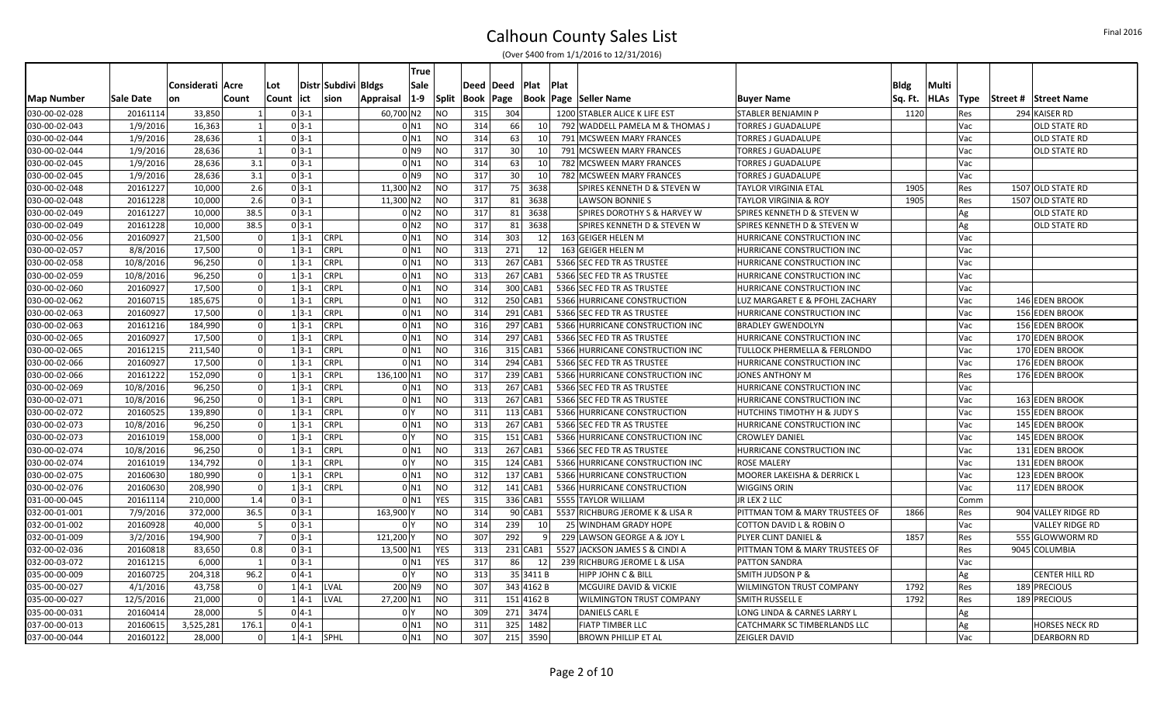|                   |           |                  |                |     |            |                     | True                        |              |           |                 |                 |       |                                        |                                  |             |             |             |                       |
|-------------------|-----------|------------------|----------------|-----|------------|---------------------|-----------------------------|--------------|-----------|-----------------|-----------------|-------|----------------------------------------|----------------------------------|-------------|-------------|-------------|-----------------------|
|                   |           | Considerati Acre |                | Lot |            | Distr Subdivi Bldgs | Sale                        |              | Deed Deed |                 | Plat            | ∣Plat |                                        |                                  | <b>Bldg</b> | Multi       |             |                       |
| <b>Map Number</b> | Sale Date | on               | Count          |     | Count lict | sion                | $ 1-9 $<br><b>Appraisal</b> | <b>Split</b> | Book      | Page            |                 |       | <b>Book   Page   Seller Name</b>       | <b>Buyer Name</b>                | Sq. Ft.     | <b>HLAs</b> | <b>Type</b> | Street # Street Name  |
| 030-00-02-028     | 20161114  | 33,850           |                |     | $03-1$     |                     | 60,700 N2                   | <b>NO</b>    | 315       | 304             |                 |       | 1200 STABLER ALICE K LIFE EST          | <b>STABLER BENJAMIN P</b>        | 1120        |             | Res         | 294 KAISER RD         |
| 030-00-02-043     | 1/9/2016  | 16,363           |                |     | $03-1$     |                     | $0$ $N1$                    | <b>NO</b>    | 314       | 66              | <b>10</b>       |       | 792 WADDELL PAMELA M & THOMAS J        | <b>TORRES J GUADALUPE</b>        |             |             | Vac         | <b>OLD STATE RD</b>   |
| 030-00-02-044     | 1/9/2016  | 28,636           |                |     | $03-1$     |                     | $0$ $N1$                    | <b>NO</b>    | 314       | 63              | 10 <sup>1</sup> |       | 791 MCSWEEN MARY FRANCES               | <b>TORRES J GUADALUPE</b>        |             |             | Vac         | <b>OLD STATE RD</b>   |
| 030-00-02-044     | 1/9/2016  | 28,636           | - 1            |     | $03-1$     |                     | 0 N9                        | <b>NO</b>    | 317       | 30              | - 10            |       | 791 MCSWEEN MARY FRANCES               | <b>TORRES J GUADALUPE</b>        |             |             | Vac         | OLD STATE RD          |
| 030-00-02-045     | 1/9/2016  | 28,636           | 3.1            |     | $03-1$     |                     | $0$ N1                      | <b>NO</b>    | 314       | 63              | 10 <sup>1</sup> |       | 782 MCSWEEN MARY FRANCES               | <b>TORRES J GUADALUPE</b>        |             |             | Vac         |                       |
| 030-00-02-045     | 1/9/2016  | 28,636           | 3.1            |     | $03-1$     |                     | 0 <sub>N9</sub>             | <b>NO</b>    | 317       | 30 <sup>°</sup> | 10              |       | 782 MCSWEEN MARY FRANCES               | <b>TORRES J GUADALUPE</b>        |             |             | Vac         |                       |
| 030-00-02-048     | 20161227  | 10,000           | 2.6            |     | $03-1$     |                     | 11,300 N2                   | <b>NO</b>    | 317       |                 | 75 3638         |       | SPIRES KENNETH D & STEVEN W            | <b>TAYLOR VIRGINIA ETAL</b>      | 1905        |             | Res         | 1507 OLD STATE RD     |
| 030-00-02-048     | 20161228  | 10,000           | 2.6            |     | $03-1$     |                     | 11,300 N2                   | <b>NO</b>    | 317       | 81              | 3638            |       | <b>LAWSON BONNIE S</b>                 | <b>TAYLOR VIRGINIA &amp; ROY</b> | 1905        |             | Res         | 1507 OLD STATE RD     |
| 030-00-02-049     | 20161227  | 10,000           | 38.5           |     | $0 3-1 $   |                     | 0 <sub>N2</sub>             | <b>NO</b>    | 317       |                 | 81 3638         |       | <b>SPIRES DOROTHY S &amp; HARVEY W</b> | SPIRES KENNETH D & STEVEN W      |             |             | Ag          | <b>OLD STATE RD</b>   |
| 030-00-02-049     | 20161228  | 10,000           | 38.5           |     | $03-1$     |                     | 0 <sub>N2</sub>             | <b>NO</b>    | 317       | 81              | 3638            |       | SPIRES KENNETH D & STEVEN W            | SPIRES KENNETH D & STEVEN W      |             |             | Ag          | <b>OLD STATE RD</b>   |
| 030-00-02-056     | 20160927  | 21,500           | $\Omega$       |     | $1 3-1 $   | <b>CRPL</b>         | $0$ $N1$                    | <b>NO</b>    | 314       | 303             | 12              |       | 163 GEIGER HELEN M                     | HURRICANE CONSTRUCTION INC       |             |             | Vac         |                       |
| 030-00-02-057     | 8/8/2016  | 17,500           |                |     | $13-1$     | <b>CRPL</b>         | 0 <sub>N1</sub>             | <b>NO</b>    | 313       | 271             | 12              |       | 163 GEIGER HELEN M                     | HURRICANE CONSTRUCTION INC       |             |             | Vac         |                       |
| 030-00-02-058     | 10/8/2016 | 96,250           | $\Omega$       |     | $1 3-1 $   | <b>CRPL</b>         | $0$ $N1$                    | <b>NO</b>    | 313       |                 | 267 CAB1        |       | 5366 SEC FED TR AS TRUSTEE             | HURRICANE CONSTRUCTION INC       |             |             | Vac         |                       |
| 030-00-02-059     | 10/8/2016 | 96,250           | $\Omega$       |     | $13-1$     | <b>CRPL</b>         | $0$ $N1$                    | <b>NO</b>    | 313       |                 | 267 CAB1        |       | 5366 SEC FED TR AS TRUSTEE             | HURRICANE CONSTRUCTION INC       |             |             | Vac         |                       |
| 030-00-02-060     | 20160927  | 17,500           | $\Omega$       |     | $13-1$     | <b>CRPL</b>         | $0$ N1                      | <b>NO</b>    | 314       |                 | 300 CAB1        |       | 5366 SEC FED TR AS TRUSTEE             | HURRICANE CONSTRUCTION INC       |             |             | Vac         |                       |
| 030-00-02-062     | 20160715  | 185,675          | $\Omega$       |     | $13-1$     | <b>CRPL</b>         | $0$ $N1$                    | <b>NO</b>    | 312       |                 | 250 CAB1        |       | 5366 HURRICANE CONSTRUCTION            | LUZ MARGARET E & PFOHL ZACHARY   |             |             | Vac         | 146 EDEN BROOK        |
| 030-00-02-063     | 20160927  | 17,500           |                |     | $13-1$     | <b>CRPL</b>         | 0 <sub>N1</sub>             | <b>NO</b>    | 314       |                 | $291$ CAB1      |       | 5366 SEC FED TR AS TRUSTEE             | HURRICANE CONSTRUCTION INC       |             |             | Vac         | 156 EDEN BROOK        |
| 030-00-02-063     | 20161216  | 184,990          | $\Omega$       |     | $13-1$     | <b>CRPL</b>         | $0$ $N1$                    | <b>NO</b>    | 316       |                 | 297 CAB1        |       | 5366 HURRICANE CONSTRUCTION INC        | <b>BRADLEY GWENDOLYN</b>         |             |             | Vac         | 156 EDEN BROOK        |
| 030-00-02-065     | 20160927  | 17,500           | $\Omega$       |     | $13-1$     | <b>CRPL</b>         | $0$ $N1$                    | <b>NO</b>    | 314       |                 | 297 CAB1        |       | 5366 SEC FED TR AS TRUSTEE             | HURRICANE CONSTRUCTION INC       |             |             | Vac         | 170 EDEN BROOK        |
| 030-00-02-065     | 20161215  | 211,540          | $\Omega$       |     | $13-1$     | <b>CRPL</b>         | $0$ N1                      | <b>NO</b>    | 316       |                 | 315 CAB1        |       | 5366 HURRICANE CONSTRUCTION INC        | TULLOCK PHERMELLA & FERLONDO     |             |             | Vac         | 170 EDEN BROOK        |
| 030-00-02-066     | 20160927  | 17,500           | $\Omega$       |     | $13-1$     | <b>CRPL</b>         | $0$ N1                      | <b>NO</b>    | 314       |                 | 294 CAB1        |       | 5366 SEC FED TR AS TRUSTEE             | HURRICANE CONSTRUCTION INC       |             |             | Vac         | 176 EDEN BROOK        |
| 030-00-02-066     | 20161222  | 152,090          | $\Omega$       |     | $13-1$     | <b>CRPL</b>         | 136,100 N1                  | <b>NO</b>    | 317       |                 | 239 CAB1        |       | 5366 HURRICANE CONSTRUCTION INC        | JONES ANTHONY M                  |             |             | Res         | 176 EDEN BROOK        |
| 030-00-02-069     | 10/8/2016 | 96,250           | $\overline{0}$ |     | $13-1$     | <b>CRPL</b>         | 0 N <sub>1</sub>            | <b>NO</b>    | 313       |                 | 267 CAB1        |       | 5366 SEC FED TR AS TRUSTEE             | HURRICANE CONSTRUCTION INC       |             |             | Vac         |                       |
| 030-00-02-071     | 10/8/2016 | 96,250           | $\Omega$       |     | $13-1$     | <b>CRPL</b>         | $0$ N1                      | <b>NO</b>    | 313       |                 | 267 CAB1        |       | 5366 SEC FED TR AS TRUSTEE             | HURRICANE CONSTRUCTION INC       |             |             | Vac         | 163 EDEN BROOK        |
| 030-00-02-072     | 20160525  | 139,890          | $\Omega$       |     | $13-1$     | <b>CRPL</b>         | 0 <sup>1</sup>              | <b>NO</b>    | 311       |                 | 113 CAB1        |       | 5366 HURRICANE CONSTRUCTION            | HUTCHINS TIMOTHY H & JUDY S      |             |             | Vac         | 155 EDEN BROOK        |
| 030-00-02-073     | 10/8/2016 | 96,250           | $\Omega$       |     | $13-1$     | <b>CRPL</b>         | 0 <sub>N1</sub>             | <b>NO</b>    | 313       |                 | 267 CAB1        |       | 5366 SEC FED TR AS TRUSTEE             | HURRICANE CONSTRUCTION INC       |             |             | Vac         | 145 EDEN BROOK        |
| 030-00-02-073     | 20161019  | 158,000          | $\Omega$       |     | $13-1$     | <b>CRPL</b>         | 0 <sup>N</sup>              | <b>NO</b>    | 315       |                 | 151 CAB1        |       | 5366 HURRICANE CONSTRUCTION INC        | <b>CROWLEY DANIEL</b>            |             |             | Vac         | 145 EDEN BROOK        |
| 030-00-02-074     | 10/8/2016 | 96,250           | $\Omega$       |     | $13-1$     | <b>CRPL</b>         | 0 <sub>N1</sub>             | <b>NO</b>    | 313       |                 | 267 CAB1        |       | 5366 SEC FED TR AS TRUSTEE             | HURRICANE CONSTRUCTION INC       |             |             | Vac         | 131 EDEN BROOK        |
| 030-00-02-074     | 20161019  | 134,792          | $\Omega$       |     | $13-1$     | <b>CRPL</b>         | 0 <sup>1</sup>              | <b>NO</b>    | 315       |                 | 124 CAB1        |       | 5366 HURRICANE CONSTRUCTION INC        | <b>ROSE MALERY</b>               |             |             | Vac         | 131 EDEN BROOK        |
| 030-00-02-075     | 20160630  | 180,990          | $\Omega$       |     | $13-1$     | <b>CRPL</b>         | 0 <sub>N1</sub>             | <b>NO</b>    | 312       |                 | 137 CAB1        |       | 5366 HURRICANE CONSTRUCTION            | MOORER LAKEISHA & DERRICK L      |             |             | Vac         | 123 EDEN BROOK        |
| 030-00-02-076     | 20160630  | 208,990          | $\Omega$       |     | $13-1$     | <b>CRPL</b>         | $0$ $N1$                    | <b>NO</b>    | 312       |                 | $141$ CAB1      |       | 5366 HURRICANE CONSTRUCTION            | <b>WIGGINS ORIN</b>              |             |             | Vac         | 117 EDEN BROOK        |
| 031-00-00-045     | 20161114  | 210,000          | 1.4            |     | $03-1$     |                     | $0$ $N1$                    | <b>YES</b>   | 315       |                 | 336 CAB1        |       | 5555 TAYLOR WILLIAM                    | JR LEX 2 LLC                     |             |             | Comm        |                       |
| 032-00-01-001     | 7/9/2016  | 372,000          | 36.5           |     | $03-1$     |                     | 163,900                     | <b>NO</b>    | 314       |                 | 90 CAB1         |       | 5537 RICHBURG JEROME K & LISA R        | PITTMAN TOM & MARY TRUSTEES OF   | 1866        |             | Res         | 904 VALLEY RIDGE RD   |
| 032-00-01-002     | 20160928  | 40,000           | -5             |     | $03-1$     |                     | 0 <sup>1</sup>              | <b>NO</b>    | 314       | 239             | 10              |       | 25 WINDHAM GRADY HOPE                  | COTTON DAVID L & ROBIN O         |             |             | Vac         | VALLEY RIDGE RD       |
| 032-00-01-009     | 3/2/2016  | 194,900          |                |     | $03-1$     |                     | 121,200                     | <b>NO</b>    | 307       | 292             | q               |       | 229 LAWSON GEORGE A & JOY L            | PLYER CLINT DANIEL &             | 1857        |             | Res         | 555 GLOWWORM RD       |
| 032-00-02-036     | 20160818  | 83,650           | 0.8            |     | $03-1$     |                     | 13,500 N1                   | YES          | 313       |                 | $231$ CAB1      |       | 5527 JACKSON JAMES S & CINDI A         | PITTMAN TOM & MARY TRUSTEES OF   |             |             | Res         | 9045 COLUMBIA         |
| 032-00-03-072     | 20161215  | 6,000            | $\overline{1}$ |     | $0 3-1 $   |                     | 0 <sub>N1</sub>             | YES          | 317       | 86              | 12              |       | 239 RICHBURG JEROME L & LISA           | <b>PATTON SANDRA</b>             |             |             | Vac         |                       |
| 035-00-00-009     | 20160725  | 204,318          | 96.2           |     | $04-1$     |                     | 0 <sup>1</sup>              | <b>NO</b>    | 313       |                 | 35 3411 B       |       | HIPP JOHN C & BILL                     | <b>SMITH JUDSON P &amp;</b>      |             |             | Ag          | <b>CENTER HILL RD</b> |
| 035-00-00-027     | 4/1/2016  | 43,758           | $\Omega$       |     | $14-1$     | LVAL                | 200 N9                      | <b>NO</b>    | 307       |                 | 343 4162 B      |       | <b>MCGUIRE DAVID &amp; VICKIE</b>      | <b>WILMINGTON TRUST COMPANY</b>  | 1792        |             | Res         | 189 PRECIOUS          |
| 035-00-00-027     | 12/5/2016 | 21,000           |                |     | $1 4-1$    | LVAL                | 27,200 N1                   | <b>NO</b>    | 311       |                 | 151 4162 B      |       | <b>WILMINGTON TRUST COMPANY</b>        | <b>SMITH RUSSELL E</b>           | 1792        |             | Res         | 189 PRECIOUS          |
| 035-00-00-031     | 20160414  | 28,000           |                |     | $04-1$     |                     | 0 <sup>1</sup>              | <b>NO</b>    | 309       |                 | 271 3474        |       | DANIELS CARL E                         | LONG LINDA & CARNES LARRY L      |             |             | Ag          |                       |
| 037-00-00-013     | 20160615  | 3,525,281        | 176.1          |     | $04-1$     |                     | $0$ $N1$                    | <b>NO</b>    | 311       |                 | 325 1482        |       | <b>FIATP TIMBER LLC</b>                | CATCHMARK SC TIMBERLANDS LLC     |             |             | Ag          | <b>HORSES NECK RD</b> |
| 037-00-00-044     | 20160122  | 28,000           | $\Omega$       |     | $1 4-1 $   | SPHL                | $0$ N1                      | <b>NO</b>    | 307       |                 | 215 3590        |       | <b>BROWN PHILLIP ET AL</b>             | <b>ZEIGLER DAVID</b>             |             |             | Vac         | <b>DEARBORN RD</b>    |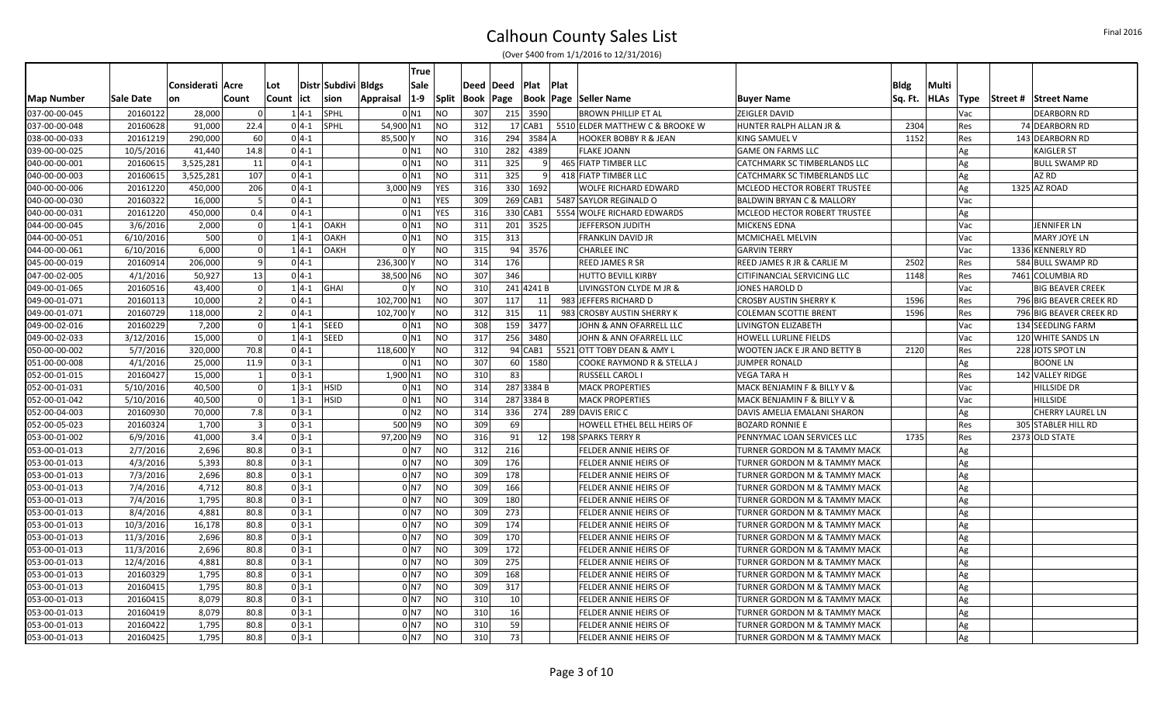|                   |           |                  |                |            |          |                     |            | True            |              |            |                    |            |             |                                  |                                      |             |             |             |                         |
|-------------------|-----------|------------------|----------------|------------|----------|---------------------|------------|-----------------|--------------|------------|--------------------|------------|-------------|----------------------------------|--------------------------------------|-------------|-------------|-------------|-------------------------|
|                   |           | Considerati Acre |                | Lot        |          | Distr Subdivi Bldgs |            | Sale            |              |            | Deed   Deed   Plat |            | <b>Plat</b> |                                  |                                      | <b>Bldg</b> | Multi       |             |                         |
| <b>Map Number</b> | Sale Date | on               | Count          | Count  ict |          | sion                | Appraisal  | $1-9$           | <b>Split</b> | Book  Page |                    |            |             | Book  Page  Seller Name          | <b>Buyer Name</b>                    | Sq. Ft.     | <b>HLAs</b> | <b>Type</b> | Street # Street Name    |
| 037-00-00-045     | 20160122  | 28,000           | $\Omega$       |            | $1 4-1$  | SPHL                |            | 0 <sub>N1</sub> | <b>NO</b>    | 307        |                    | 215 3590   |             | <b>BROWN PHILLIP ET AL</b>       | ZEIGLER DAVID                        |             |             | Vac         | <b>DEARBORN RD</b>      |
| 037-00-00-048     | 20160628  | 91,000           | 22.4           |            | $04-1$   | SPHL                | 54,900 N1  |                 | <b>NO</b>    | 312        |                    | $17$ CAB1  |             | 5510 ELDER MATTHEW C & BROOKE W  | HUNTER RALPH ALLAN JR &              | 2304        |             | Res         | 74 DEARBORN RD          |
| 038-00-00-033     | 20161219  | 290,000          | 60             |            | $0 4-1$  |                     | 85,500     |                 | NO.          | 316        |                    | 294 3584 A |             | <b>HOOKER BOBBY R &amp; JEAN</b> | KING SAMUEL V                        | 1152        |             | Res         | 143 DEARBORN RD         |
| 039-00-00-025     | 10/5/2016 | 41,440           | 14.8           |            | $0 4-1$  |                     |            | 0 <sub>N1</sub> | <b>NO</b>    | 310        |                    | 282 4389   |             | <b>FLAKE JOANN</b>               | <b>GAME ON FARMS LLC</b>             |             |             | Ag          | <b>KAIGLER ST</b>       |
| 040-00-00-001     | 20160615  | 3,525,281        | 11             |            | $0 4-1$  |                     |            | 0 <sub>N1</sub> | <b>NO</b>    | 311        | 325                | -91        |             | 465 FIATP TIMBER LLC             | CATCHMARK SC TIMBERLANDS LLC         |             |             | Ag          | <b>BULL SWAMP RD</b>    |
| 040-00-00-003     | 20160615  | 3,525,281        | 107            |            | $04-1$   |                     |            | 0 <sub>N1</sub> | <b>NO</b>    | 311        | 325                | q          |             | 418 FIATP TIMBER LLC             | CATCHMARK SC TIMBERLANDS LLC         |             |             | Ag          | AZ RD                   |
| 040-00-00-006     | 20161220  | 450,000          | 206            |            | $0 4-1 $ |                     | 3,000 N9   |                 | <b>YES</b>   | 316        |                    | 330 1692   |             | <b>WOLFE RICHARD EDWARD</b>      | MCLEOD HECTOR ROBERT TRUSTEE         |             |             | Ag          | 1325 AZ ROAD            |
| 040-00-00-030     | 20160322  | 16,000           | -5             |            | $04-1$   |                     |            | 0 N1            | YES          | 309        |                    | $269$ CAB1 |             | 5487 SAYLOR REGINALD O           | <b>BALDWIN BRYAN C &amp; MALLORY</b> |             |             | Vac         |                         |
| 040-00-00-031     | 20161220  | 450,000          | 0.4            |            | $0 4-1 $ |                     |            | 0 <sub>N1</sub> | <b>YES</b>   | 316        |                    | 330 CAB1   |             | 5554 WOLFE RICHARD EDWARDS       | MCLEOD HECTOR ROBERT TRUSTEE         |             |             | Ag          |                         |
| 044-00-00-045     | 3/6/2016  | 2,000            | $\Omega$       |            | $1 4-1$  | OAKH                |            | $0$ N1          | <b>NO</b>    | 311        |                    | 201 3525   |             | JEFFERSON JUDITH                 | <b>MICKENS EDNA</b>                  |             |             | Vac         | <b>JENNIFER LN</b>      |
| 044-00-00-051     | 6/10/2016 | 500              | $\Omega$       |            | $1 4-1$  | <b>OAKH</b>         |            | 0 <sub>N1</sub> | <b>NO</b>    | 315        | 313                |            |             | <b>FRANKLIN DAVID JR</b>         | MCMICHAEL MELVIN                     |             |             | Vac         | MARY JOYE LN            |
| 044-00-00-061     | 6/10/2016 | 6,000            |                |            | $1 4-1$  | OAKH                |            | 0 <sup>1</sup>  | <b>NO</b>    | 315        |                    | 94 3576    |             | <b>CHARLEE INC</b>               | <b>GARVIN TERRY</b>                  |             |             | Vac         | 1336 KENNERLY RD        |
| 045-00-00-019     | 20160914  | 206,000          | 9              |            | $0 4-1 $ |                     | 236,300    |                 | <b>NO</b>    | 314        | 176                |            |             | <b>REED JAMES R SR</b>           | REED JAMES R JR & CARLIE M           | 2502        |             | Res         | 584 BULL SWAMP RD       |
| 047-00-02-005     | 4/1/2016  | 50,927           | 13             |            | $0 4-1 $ |                     | 38,500 N6  |                 | <b>NO</b>    | 307        | 346                |            |             | <b>HUTTO BEVILL KIRBY</b>        | CITIFINANCIAL SERVICING LLC          | 1148        |             | Res         | 7461 COLUMBIA RD        |
| 049-00-01-065     | 20160516  | 43,400           | $\Omega$       |            |          | $1 4-1 $ GHAI       |            | 0 <sup>1</sup>  | <b>NO</b>    | 310        |                    | 241 4241 B |             | LIVINGSTON CLYDE M JR &          | JONES HAROLD D                       |             |             | Vac         | <b>BIG BEAVER CREEK</b> |
| 049-00-01-071     | 20160113  | 10,000           | $\overline{2}$ |            | $04-1$   |                     | 102,700 N1 |                 | <b>NO</b>    | 307        | 117                | 11         |             | 983 JEFFERS RICHARD D            | <b>CROSBY AUSTIN SHERRY K</b>        | 1596        |             | Res         | 796 BIG BEAVER CREEK RD |
| 049-00-01-071     | 20160729  | 118,000          | $\overline{2}$ |            | $0 4-1 $ |                     | 102,700    |                 | <b>NO</b>    | 312        | 315                | 11         |             | 983 CROSBY AUSTIN SHERRY K       | <b>COLEMAN SCOTTIE BRENT</b>         | 1596        |             | Res         | 796 BIG BEAVER CREEK RD |
| 049-00-02-016     | 20160229  | 7,200            | $\overline{0}$ |            |          | $1 4-1$ SEED        |            | 0 <sub>N1</sub> | <b>NO</b>    | 308        |                    | 159 3477   |             | JOHN & ANN OFARRELL LLC          | LIVINGTON ELIZABETH                  |             |             | Vac         | 134 SEEDLING FARM       |
| 049-00-02-033     | 3/12/2016 | 15,000           | $\Omega$       |            | $1 4-1 $ | <b>SEED</b>         |            | 0 <sub>N1</sub> | <b>NO</b>    | 317        |                    | 256 3480   |             | JOHN & ANN OFARRELL LLC          | <b>HOWELL LURLINE FIELDS</b>         |             |             | Vac         | 120 WHITE SANDS LN      |
| 050-00-00-002     | 5/7/2016  | 320,000          | 70.8           |            | $0 4-1 $ |                     | 118,600    |                 | <b>NO</b>    | 312        |                    | 94 CAB1    |             | 5521 OTT TOBY DEAN & AMY L       | WOOTEN JACK E JR AND BETTY B         | 2120        |             | Res         | 228 JOTS SPOT LN        |
| 051-00-00-008     | 4/1/2016  | 25,000           | 11.9           |            | $0 3-1 $ |                     |            | $0$ N1          | <b>NO</b>    | 307        |                    | 60 1580    |             | COOKE RAYMOND R & STELLA J       | <b>JUMPER RONALD</b>                 |             |             | Ag          | <b>BOONE LN</b>         |
| 052-00-01-015     | 20160427  | 15,000           | - 1            |            | $0 3-1 $ |                     | 1,900 N1   |                 | <b>NO</b>    | 310        | 83                 |            |             | <b>RUSSELL CAROL I</b>           | <b>VEGA TARA H</b>                   |             |             | Res         | 142 VALLEY RIDGE        |
| 052-00-01-031     | 5/10/2016 | 40,500           | $\Omega$       |            |          | $1 3-1$ HSID        |            | 0 <sub>N1</sub> | <b>NO</b>    | 314        |                    | 287 3384 B |             | <b>MACK PROPERTIES</b>           | MACK BENJAMIN F & BILLY V &          |             |             | Vac         | <b>HILLSIDE DR</b>      |
| 052-00-01-042     | 5/10/2016 | 40,500           | $\Omega$       |            | $1 3-1 $ | <b>HSID</b>         |            | 0 <sub>N1</sub> | NO           | 314        |                    | 287 3384 B |             | <b>MACK PROPERTIES</b>           | MACK BENJAMIN F & BILLY V &          |             |             | Vac         | <b>HILLSIDE</b>         |
| 052-00-04-003     | 20160930  | 70,000           | 7.8            |            | $03-1$   |                     |            | 0 <sub>N2</sub> | <b>NO</b>    | 314        |                    | 336 274    |             | 289 DAVIS ERIC C                 | DAVIS AMELIA EMALANI SHARON          |             |             | Ag          | <b>CHERRY LAUREL LN</b> |
| 052-00-05-023     | 20160324  | 1,700            | $\overline{3}$ |            | $03-1$   |                     |            | 500 N9          | NO.          | 309        | 69                 |            |             | HOWELL ETHEL BELL HEIRS OF       | <b>BOZARD RONNIE E</b>               |             |             | Res         | 305 STABLER HILL RD     |
| 053-00-01-002     | 6/9/2016  | 41,000           | 3.4            |            | $0 3-1 $ |                     | 97,200 N9  |                 | NO.          | 316        | 91                 | 12         |             | 198 SPARKS TERRY R               | PENNYMAC LOAN SERVICES LLC           | 1735        |             | Res         | 2373 OLD STATE          |
| 053-00-01-013     | 2/7/2016  | 2,696            | 80.8           |            | $0 3-1 $ |                     |            | 0 <sub>N7</sub> | <b>NO</b>    | 312        | 216                |            |             | FELDER ANNIE HEIRS OF            | TURNER GORDON M & TAMMY MACK         |             |             | Ag          |                         |
| 053-00-01-013     | 4/3/2016  | 5,393            | 80.8           |            | $0 3-1 $ |                     |            | 0 <sub>N7</sub> | <b>NO</b>    | 309        | 176                |            |             | FELDER ANNIE HEIRS OF            | TURNER GORDON M & TAMMY MACK         |             |             | Ag          |                         |
| 053-00-01-013     | 7/3/2016  | 2,696            | 80.8           |            | $03-1$   |                     |            | 0 <sub>N7</sub> | <b>NO</b>    | 309        | 178                |            |             | <b>FELDER ANNIE HEIRS OF</b>     | TURNER GORDON M & TAMMY MACK         |             |             | Ag          |                         |
| 053-00-01-013     | 7/4/2016  | 4,712            | 80.8           |            | $03-1$   |                     |            | 0 <sub>N7</sub> | <b>NO</b>    | 309        | 166                |            |             | FELDER ANNIE HEIRS OF            | TURNER GORDON M & TAMMY MACK         |             |             | Ag          |                         |
| 053-00-01-013     | 7/4/2016  | 1,795            | 80.8           |            | $0 3-1 $ |                     |            | $0$ N7          | <b>NO</b>    | 309        | 180                |            |             | <b>FELDER ANNIE HEIRS OF</b>     | TURNER GORDON M & TAMMY MACK         |             |             | Ag          |                         |
| 053-00-01-013     | 8/4/2016  | 4,881            | 80.8           |            | $0 3-1 $ |                     |            | 0 N7            | <b>NO</b>    | 309        | 273                |            |             | <b>FELDER ANNIE HEIRS OF</b>     | TURNER GORDON M & TAMMY MACK         |             |             | Ag          |                         |
| 053-00-01-013     | 10/3/2016 | 16,178           | 80.8           |            | $0 3-1 $ |                     |            | 0 <sub>N7</sub> | <b>NO</b>    | 309        | 174                |            |             | FELDER ANNIE HEIRS OF            | TURNER GORDON M & TAMMY MACK         |             |             | Ag          |                         |
| 053-00-01-013     | 11/3/2016 | 2,696            | 80.8           |            | $03-1$   |                     |            | 0 <sub>N7</sub> | <b>NO</b>    | 309        | 170                |            |             | FELDER ANNIE HEIRS OF            | TURNER GORDON M & TAMMY MACK         |             |             | Ag          |                         |
| 053-00-01-013     | 11/3/2016 | 2,696            | 80.8           |            | $0 3-1 $ |                     |            | 0 <sub>N7</sub> | <b>NO</b>    | 309        | 172                |            |             | <b>FELDER ANNIE HEIRS OF</b>     | TURNER GORDON M & TAMMY MACK         |             |             | Ag          |                         |
| 053-00-01-013     | 12/4/2016 | 4,881            | 80.8           |            | $0 3-1 $ |                     |            | 0 <sub>N7</sub> | <b>NO</b>    | 309        | 275                |            |             | <b>FELDER ANNIE HEIRS OF</b>     | TURNER GORDON M & TAMMY MACK         |             |             | Ag          |                         |
| 053-00-01-013     | 20160329  | 1,795            | 80.8           |            | $0 3-1 $ |                     |            | 0 <sub>N7</sub> | <b>NO</b>    | 309        | 168                |            |             | FELDER ANNIE HEIRS OF            | TURNER GORDON M & TAMMY MACK         |             |             | Ag          |                         |
| 053-00-01-013     | 20160415  | 1,795            | 80.8           |            | $0 3-1 $ |                     |            | 0 <sub>N7</sub> | <b>NO</b>    | 309        | 317                |            |             | FELDER ANNIE HEIRS OF            | TURNER GORDON M & TAMMY MACK         |             |             | Ag          |                         |
| 053-00-01-013     | 20160415  | 8,079            | 80.8           |            | $0 3-1 $ |                     |            | 0 <sub>N7</sub> | <b>NO</b>    | 310        | 10                 |            |             | FELDER ANNIE HEIRS OF            | TURNER GORDON M & TAMMY MACK         |             |             | Ag          |                         |
| 053-00-01-013     | 20160419  | 8,079            | 80.8           |            | $0 3-1 $ |                     |            | 0 <sub>N7</sub> | <b>NO</b>    | 310        | 16                 |            |             | <b>FELDER ANNIE HEIRS OF</b>     | TURNER GORDON M & TAMMY MACK         |             |             | Ag          |                         |
| 053-00-01-013     | 20160422  | 1,795            | 80.8           |            | $0 3-1 $ |                     |            | $01$ N7         | NO.          | 310        | 59                 |            |             | FELDER ANNIE HEIRS OF            | TURNER GORDON M & TAMMY MACK         |             |             | Ag          |                         |
| 053-00-01-013     | 20160425  | 1,795            | 80.8           |            | $0 3-1 $ |                     |            | 0 <sub>N7</sub> | <b>NO</b>    | 310        | 73                 |            |             | <b>FELDER ANNIE HEIRS OF</b>     | TURNER GORDON M & TAMMY MACK         |             |             | Ag          |                         |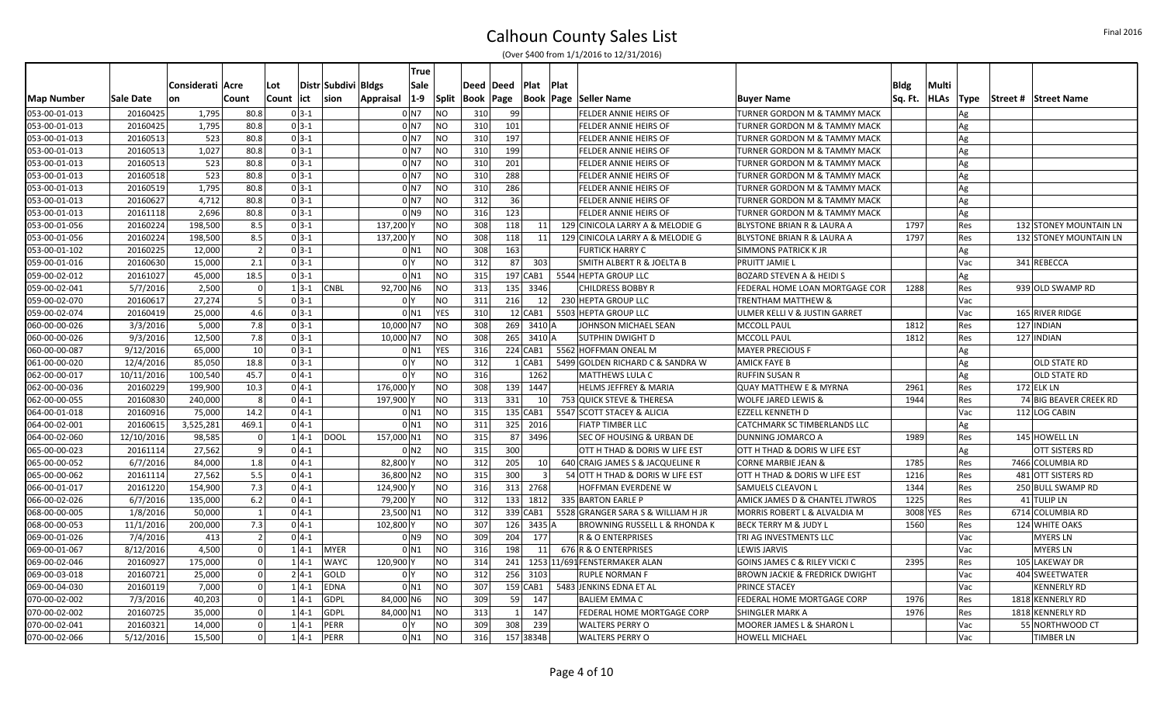|                   |            |                  |                          |            |                     | True                      |              |           |          |                 |      |                                          |                                           |             |             |             |                               |
|-------------------|------------|------------------|--------------------------|------------|---------------------|---------------------------|--------------|-----------|----------|-----------------|------|------------------------------------------|-------------------------------------------|-------------|-------------|-------------|-------------------------------|
|                   |            | Considerati Acre |                          | Lot        | Distr Subdivi Bldgs | Sale                      |              | Deed Deed |          | Plat            | Plat |                                          |                                           | <b>Bldg</b> | Multi       |             |                               |
| <b>Map Number</b> | Sale Date  | lon              | Count                    | Count  ict | <b>sion</b>         | $1-9$<br><b>Appraisal</b> | <b>Split</b> | Book Page |          |                 |      | <b>Book Page Seller Name</b>             | <b>Buyer Name</b>                         | Sq. Ft.     | <b>HLAs</b> | <b>Type</b> | <b>Street # Street Name</b>   |
| 053-00-01-013     | 20160425   | 1,795            | 80.8                     | $03-1$     |                     | 0 N7                      | <b>NO</b>    | 310       | 99       |                 |      | FELDER ANNIE HEIRS OF                    | TURNER GORDON M & TAMMY MACK              |             |             | Ag          |                               |
| 053-00-01-013     | 20160425   | 1,795            | 80.8                     | $03-1$     |                     | $0$ N7                    | <b>NO</b>    | 310       | 101      |                 |      | FELDER ANNIE HEIRS OF                    | TURNER GORDON M & TAMMY MACK              |             |             | Ag          |                               |
| 053-00-01-013     | 20160513   | 523              | 80.8                     | $03-1$     |                     | $01$ N7                   | <b>NO</b>    | 310       | 197      |                 |      | FELDER ANNIE HEIRS OF                    | TURNER GORDON M & TAMMY MACK              |             |             | Ag          |                               |
| 053-00-01-013     | 20160513   | 1,027            | 80.8                     | $0 3-1 $   |                     | $01$ N7                   | <b>NO</b>    | 310       | 199      |                 |      | <b>FELDER ANNIE HEIRS OF</b>             | TURNER GORDON M & TAMMY MACK              |             |             | Ag          |                               |
| 053-00-01-013     | 20160513   | 523              | 80.8                     | $03-1$     |                     | $01$ N7                   | <b>NO</b>    | 310       | 201      |                 |      | <b>FELDER ANNIE HEIRS OF</b>             | TURNER GORDON M & TAMMY MACK              |             |             | Ag          |                               |
| 053-00-01-013     | 20160518   | 523              | 80.8                     | $03-1$     |                     | $01$ N7                   | <b>NO</b>    | 310       | 288      |                 |      | <b>FELDER ANNIE HEIRS OF</b>             | TURNER GORDON M & TAMMY MACK              |             |             | Ag          |                               |
| 053-00-01-013     | 20160519   | 1,795            | 80.8                     | $0 3-1 $   |                     | $01$ N7                   | <b>NO</b>    | 310       | 286      |                 |      | <b>FELDER ANNIE HEIRS OF</b>             | TURNER GORDON M & TAMMY MACK              |             |             | Ag          |                               |
| 053-00-01-013     | 20160627   | 4,712            | 80.8                     | $03-1$     |                     | $01$ N7                   | <b>NO</b>    | 312       | 36       |                 |      | FELDER ANNIE HEIRS OF                    | TURNER GORDON M & TAMMY MACK              |             |             | $Ag$        |                               |
| 053-00-01-013     | 20161118   | 2,696            | 80.8                     | $0 3-1 $   |                     | 0 <sub>N</sub> 9          | <b>NO</b>    | 316       | 123      |                 |      | <b>FELDER ANNIE HEIRS OF</b>             | TURNER GORDON M & TAMMY MACK              |             |             | Ag          |                               |
| 053-00-01-056     | 20160224   | 198,500          | 8.5                      | $0 3-1$    |                     | 137,200                   | <b>NO</b>    | 308       | 118      | 11              |      | 129 CINICOLA LARRY A & MELODIE G         | <b>BLYSTONE BRIAN R &amp; LAURA A</b>     | 1797        |             | <b>Res</b>  | 132 STONEY MOUNTAIN LN        |
| 053-00-01-056     | 20160224   | 198,500          | 8.5                      | $03-1$     |                     | 137,200                   | <b>NO</b>    | 308       | 118      | 11              |      | 129 CINICOLA LARRY A & MELODIE G         | <b>BLYSTONE BRIAN R &amp; LAURA A</b>     | 1797        |             | Res         | <b>132 STONEY MOUNTAIN LN</b> |
| 053-00-01-102     | 20160225   | 12,000           | $\overline{2}$           | $0 3-1 $   |                     | $0$ N1                    | <b>NO</b>    | 308       | 163      |                 |      | <b>FURTICK HARRY C</b>                   | <b>SIMMONS PATRICK K JR</b>               |             |             | Ag          |                               |
| 059-00-01-016     | 20160630   | 15,000           | 2.1                      | $03-1$     |                     | 0 <sup>1</sup>            | <b>NO</b>    | 312       | 87       | 303             |      | SMITH ALBERT R & JOELTA B                | <b>PRUITT JAMIE L</b>                     |             |             | Vac         | 341 REBECCA                   |
| 059-00-02-012     | 20161027   | 45,000           | 18.5                     | $03-1$     |                     | $0$ $N1$                  | <b>NO</b>    | 315       |          | 197 CAB1        |      | 5544 HEPTA GROUP LLC                     | <b>BOZARD STEVEN A &amp; HEIDI S</b>      |             |             | Ag          |                               |
| 059-00-02-041     | 5/7/2016   | 2,500            | $\Omega$                 | $1 3-1 $   | <b>CNBL</b>         | 92,700 N6                 | <b>NO</b>    | 313       |          | 135 3346        |      | <b>CHILDRESS BOBBY R</b>                 | FEDERAL HOME LOAN MORTGAGE COR            | 1288        |             | Res         | 939 OLD SWAMP RD              |
| 059-00-02-070     | 20160617   | 27,274           | 5                        | $03-1$     |                     | 0 <sup>1</sup>            | <b>NO</b>    | 311       | 216      | 12              |      | 230 HEPTA GROUP LLC                      | <b>TRENTHAM MATTHEW &amp;</b>             |             |             | Vac         |                               |
| 059-00-02-074     | 20160419   | 25,000           | 4.6                      | $03-1$     |                     | 0 <sub>N1</sub>           | <b>YES</b>   | 310       |          | 12 CAB1         |      | 5503 HEPTA GROUP LLC                     | ULMER KELLI V & JUSTIN GARRET             |             |             | Vac         | 165 RIVER RIDGE               |
| 060-00-00-026     | 3/3/2016   | 5,000            | 7.8                      | $03-1$     |                     | 10,000 N7                 | <b>NO</b>    | 308       |          | 269 3410 A      |      | JOHNSON MICHAEL SEAN                     | <b>MCCOLL PAUL</b>                        | 1812        |             | Res         | 127 INDIAN                    |
| 060-00-00-026     | 9/3/2016   | 12,500           | 7.8                      | $0 3-1 $   |                     | 10,000 N7                 | <b>NO</b>    | 308       |          | 265 3410 A      |      | SUTPHIN DWIGHT D                         | <b>MCCOLL PAUL</b>                        | 1812        |             | Res         | 127 INDIAN                    |
| 060-00-00-087     | 9/12/2016  | 65,000           | 10                       | $03-1$     |                     | 0 <sub>N1</sub>           | <b>YES</b>   | 316       |          | 224 CAB1        |      | 5562 HOFFMAN ONEAL M                     | <b>MAYER PRECIOUS F</b>                   |             |             | Ag          |                               |
| 061-00-00-020     | 12/4/2016  | 85,050           | 18.8                     | $03-1$     |                     | $0\vert$                  | <b>NO</b>    | 312       |          | $1$ CAB1        |      | 5499 GOLDEN RICHARD C & SANDRA W         | <b>AMICK FAYE B</b>                       |             |             | Ag          | <b>OLD STATE RD</b>           |
| 062-00-00-017     | 10/11/2016 | 100,540          | 45.7                     | $04-1$     |                     | 0 Y                       | <b>NO</b>    | 316       |          | 1262            |      | MATTHEWS LULA C                          | <b>RUFFIN SUSAN R</b>                     |             |             | Ag          | <b>OLD STATE RD</b>           |
| 062-00-00-036     | 20160229   | 199,900          | 10.3                     | $04-1$     |                     | 176,000                   | <b>NO</b>    | 308       | 139      | 1447            |      | <b>HELMS JEFFREY &amp; MARIA</b>         | <b>QUAY MATTHEW E &amp; MYRNA</b>         | 2961        |             | Res         | 172 ELK LN                    |
| 062-00-00-055     | 20160830   | 240,000          | - 8                      | $0 4-1 $   |                     | 197,900                   | <b>NO</b>    | 313       | 331      | 10 <sup>1</sup> |      | 753 QUICK STEVE & THERESA                | <b>WOLFE JARED LEWIS &amp;</b>            | 1944        |             | Res         | 74 BIG BEAVER CREEK RD        |
| 064-00-01-018     | 20160916   | 75,000           | 14.2                     | $04-1$     |                     | $0$ N1                    | <b>NO</b>    | 315       |          | 135 CAB1        |      | 5547 SCOTT STACEY & ALICIA               | <b>EZZELL KENNETH D</b>                   |             |             | Vac         | 112 LOG CABIN                 |
| 064-00-02-001     | 20160615   | 3,525,281        | 469.1                    | $04-1$     |                     | $0$ N1                    | <b>NO</b>    | 311       |          | 325 2016        |      | <b>FIATP TIMBER LLC</b>                  | CATCHMARK SC TIMBERLANDS LLC              |             |             | Ag          |                               |
| 064-00-02-060     | 12/10/2016 | 98,585           | 0                        | $1 4-1$    | DOOL                | 157,000 N1                | <b>NO</b>    | 315       |          | 87 3496         |      | <b>SEC OF HOUSING &amp; URBAN DE</b>     | DUNNING JOMARCO A                         | 1989        |             | Res         | 145 HOWELL LN                 |
| 065-00-00-023     | 20161114   | 27,562           | q                        | $04-1$     |                     | 0 N2                      | <b>NO</b>    | 315       | 300      |                 |      | OTT H THAD & DORIS W LIFE EST            | OTT H THAD & DORIS W LIFE EST             |             |             | Ag          | OTT SISTERS RD                |
| 065-00-00-052     | 6/7/2016   | 84,000           | 1.8                      | $04-1$     |                     | 82,800                    | <b>NO</b>    | 312       | 205      | 10 <sup>1</sup> |      | 640 CRAIG JAMES S & JACQUELINE R         | <b>CORNE MARBIE JEAN &amp;</b>            | 1785        |             | Res         | 7466 COLUMBIA RD              |
| 065-00-00-062     | 20161114   | 27,562           | 5.5                      | $04-1$     |                     | 36,800 N2                 | <b>NO</b>    | 315       | 300      | $\overline{3}$  |      | 54 OTT H THAD & DORIS W LIFE EST         | OTT H THAD & DORIS W LIFE EST             | 1216        |             | Res         | 481 OTT SISTERS RD            |
| 066-00-01-017     | 20161220   | 154,900          | 7.3                      | $0 4-1 $   |                     | 124,900                   | <b>NO</b>    | 316       |          | 313 2768        |      | HOFFMAN EVERDENE W                       | <b>SAMUELS CLEAVON L</b>                  | 1344        |             | Res         | 250 BULL SWAMP RD             |
| 066-00-02-026     | 6/7/2016   | 135,000          | 6.2                      | $0 4-1 $   |                     | 79,200                    | <b>NO</b>    | 312       |          | 133 1812        |      | 335 BARTON EARLE P                       | <b>AMICK JAMES D &amp; CHANTEL JTWROS</b> | 1225        |             | Res         | 41 TULIP LN                   |
| 068-00-00-005     | 1/8/2016   | 50,000           | $\overline{\phantom{0}}$ | $0 4-1$    |                     | 23,500 N1                 | <b>NO</b>    | 312       |          | 339 CAB1        |      | 5528 GRANGER SARA S & WILLIAM H JR       | MORRIS ROBERT L & ALVALDIA M              | 3008 YES    |             | Res         | 6714 COLUMBIA RD              |
| 068-00-00-053     | 11/1/2016  | 200,000          | 7.3                      | $0 4-1$    |                     | 102,800                   | <b>NO</b>    | 307       |          | 126 3435 A      |      | <b>BROWNING RUSSELL L &amp; RHONDA K</b> | <b>BECK TERRY M &amp; JUDY L</b>          | 1560        |             | Res         | 124 WHITE OAKS                |
| 069-00-01-026     | 7/4/2016   | 413              |                          | $04-1$     |                     | 0 N9                      | <b>NO</b>    | 309       | 204      | 177             |      | R & O ENTERPRISES                        | TRI AG INVESTMENTS LLC                    |             |             | Vac         | MYERS LN                      |
| 069-00-01-067     | 8/12/2016  | 4,500            | $\Omega$                 | $1 4-1$    | <b>MYER</b>         | 0 <sup>1</sup>            | <b>NO</b>    | 316       | 198      | 11              |      | 676 R & O ENTERPRISES                    | <b>LEWIS JARVIS</b>                       |             |             | Vac         | <b>MYERS LN</b>               |
| 069-00-02-046     | 20160927   | 175,000          | $\Omega$                 | $14-1$     | <b>WAYC</b>         | 120,900                   | <b>NO</b>    | 314       | 241      |                 |      | 1253 11/691 FENSTERMAKER ALAN            | GOINS JAMES C & RILEY VICKI C             | 2395        |             | Res         | 105 LAKEWAY DR                |
| 069-00-03-018     | 20160721   | 25,000           | $\Omega$                 | $24-1$     | GOLD                | 0 <sup>1</sup>            | <b>NO</b>    | 312       |          | 256 3103        |      | RUPLE NORMAN F                           | <b>BROWN JACKIE &amp; FREDRICK DWIGHT</b> |             |             | Vac         | 404 SWEETWATER                |
| 069-00-04-030     | 20160119   | 7,000            | $\Omega$                 | $14-1$     | <b>EDNA</b>         | $0$ $N1$                  | <b>NO</b>    | 307       |          | 159 CAB1        |      | 5483 JENKINS EDNA ET AL                  | <b>PRINCE STACEY</b>                      |             |             | Vac         | <b>KENNERLY RD</b>            |
| 070-00-02-002     | 7/3/2016   | 40,203           |                          | $14-1$     | GDPL                | 84,000 N6                 | <b>NO</b>    | 309       | 59       | 147             |      | <b>BALIEM EMMA C</b>                     | FEDERAL HOME MORTGAGE CORP                | 1976        |             | Res         | 1818 KENNERLY RD              |
| 070-00-02-002     | 20160725   | 35,000           | $\Omega$                 | $14-1$     | GDPL                | 84,000 N1                 | <b>NO</b>    | 313       | $1\vert$ | 147             |      | <b>FEDERAL HOME MORTGAGE CORP</b>        | SHINGLER MARK A                           | 1976        |             | Res         | 1818 KENNERLY RD              |
| 070-00-02-041     | 20160321   | 14,000           | $\Omega$                 | $14-1$     | PERR                | 0 Y                       | <b>NO</b>    | 309       | 308      | 239             |      | <b>WALTERS PERRY O</b>                   | MOORER JAMES L & SHARON L                 |             |             | Vac         | 55 NORTHWOOD CT               |
| 070-00-02-066     | 5/12/2016  | 15,500           | $\Omega$                 | $1 4-1$    | PERR                | $0$ $N1$                  | <b>NO</b>    | 316       |          | 157 3834B       |      | WALTERS PERRY O                          | <b>HOWELL MICHAEL</b>                     |             |             | Vac         | <b>TIMBER LN</b>              |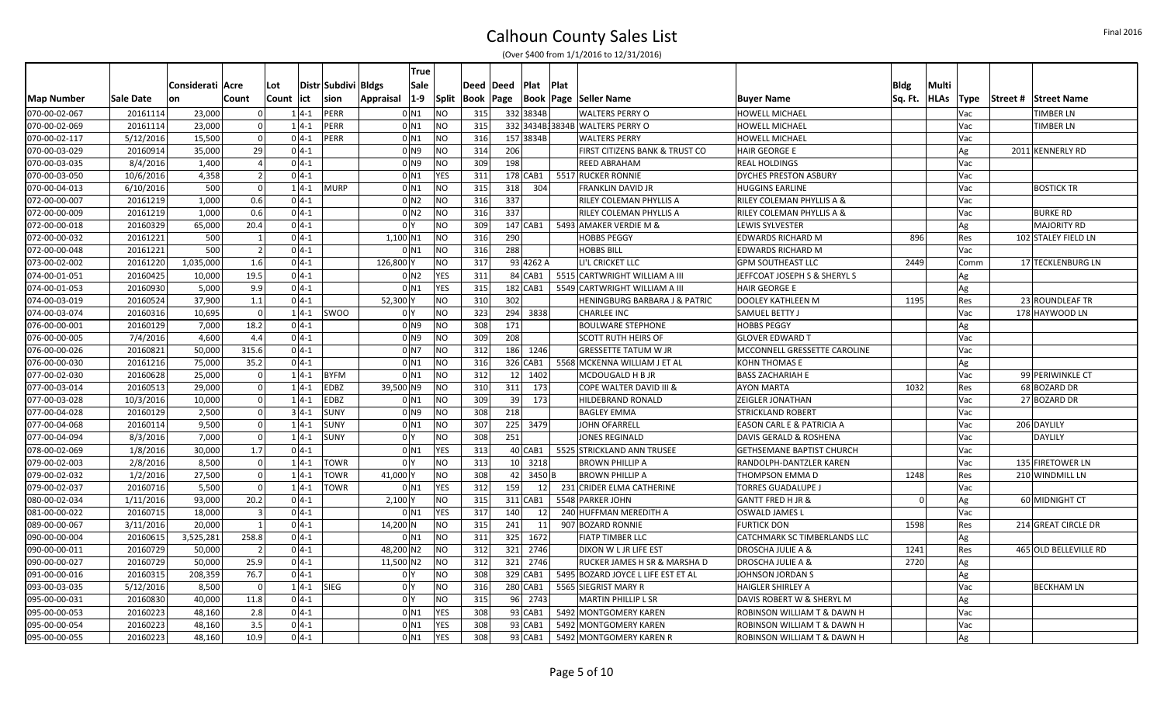|                   |           |                  |                |            |               |                     | True                      |              |           |     |                 |      |                                          |                                  |          |             |             |          |                       |
|-------------------|-----------|------------------|----------------|------------|---------------|---------------------|---------------------------|--------------|-----------|-----|-----------------|------|------------------------------------------|----------------------------------|----------|-------------|-------------|----------|-----------------------|
|                   |           | Considerati Acre |                | Lot        |               | Distr Subdivi Bldgs | Sale                      |              | Deed Deed |     | Plat            | Plat |                                          |                                  | Bldg     | Multi       |             |          |                       |
| <b>Map Number</b> | Sale Date | on               | Count          | Count  ict |               | <b>sion</b>         | $1-9$<br><b>Appraisal</b> | <b>Split</b> | Book Page |     |                 |      | <b>Book   Page   Seller Name</b>         | <b>Buyer Name</b>                | Sq. Ft.  | <b>HLAs</b> | <b>Type</b> | Street # | <b>Street Name</b>    |
| 070-00-02-067     | 20161114  | 23,000           |                |            | $1 4-1$       | PERR                | $0$ N1                    | <b>NO</b>    | 315       |     | 332 3834B       |      | <b>WALTERS PERRY O</b>                   | <b>HOWELL MICHAEL</b>            |          |             | Vac         |          | TIMBER LN             |
| 070-00-02-069     | 20161114  | 23,000           |                |            | $14-1$        | PERR                | $0$ $N1$                  | <b>NO</b>    | 315       |     |                 |      | 332 3434B 3834B WALTERS PERRY O          | <b>HOWELL MICHAEL</b>            |          |             | Vac         |          | <b>TIMBER LN</b>      |
| 070-00-02-117     | 5/12/2016 | 15,500           |                |            | $0 4-1$       | PERR                | $0$ N1                    | <b>NO</b>    | 316       |     | 157 3834B       |      | <b>WALTERS PERRY</b>                     | HOWELL MICHAEL                   |          |             | Vac         |          |                       |
| 070-00-03-029     | 20160914  | 35,000           | 29             |            | $04-1$        |                     | $01$ N $92$               | <b>NO</b>    | 314       | 206 |                 |      | FIRST CITIZENS BANK & TRUST CO           | <b>HAIR GEORGE E</b>             |          |             | Ag          |          | 2011 KENNERLY RD      |
| 070-00-03-035     | 8/4/2016  | 1,400            |                |            | $04-1$        |                     | 0 <sub>N</sub> 9          | <b>NO</b>    | 309       | 198 |                 |      | REED ABRAHAM                             | <b>REAL HOLDINGS</b>             |          |             | Vac         |          |                       |
| 070-00-03-050     | 10/6/2016 | 4,358            | $\overline{2}$ |            | $04-1$        |                     | $0$ N1                    | YES          | 311       |     | 178 CAB1        |      | 5517 RUCKER RONNIE                       | DYCHES PRESTON ASBURY            |          |             | Vac         |          |                       |
| 070-00-04-013     | 6/10/2016 | 500              |                |            | $1 4-1$       | <b>MURP</b>         | 0 <sub>N1</sub>           | <b>NO</b>    | 315       | 318 | 304             |      | FRANKLIN DAVID JR                        | <b>HUGGINS EARLINE</b>           |          |             | Vac         |          | <b>BOSTICK TR</b>     |
| 072-00-00-007     | 20161219  | 1,000            | 0.6            |            | $04-1$        |                     | 0 <sub>N2</sub>           | <b>NO</b>    | 316       | 337 |                 |      | RILEY COLEMAN PHYLLIS A                  | RILEY COLEMAN PHYLLIS A &        |          |             | Vac         |          |                       |
| 072-00-00-009     | 20161219  | 1,000            | 0.6            |            | $0 4-1 $      |                     | 0 <sub>N2</sub>           | <b>NO</b>    | 316       | 337 |                 |      | RILEY COLEMAN PHYLLIS A                  | RILEY COLEMAN PHYLLIS A &        |          |             | Vac         |          | <b>BURKE RD</b>       |
| 072-00-00-018     | 20160329  | 65,000           | 20.4           |            | $04-1$        |                     | 0 <sup>N</sup>            | <b>NO</b>    | 309       |     | 147 CAB1        |      | 5493 AMAKER VERDIE M &                   | LEWIS SYLVESTER                  |          |             | Ag          |          | <b>MAJORITY RD</b>    |
| 072-00-00-032     | 20161221  | 500              | $\mathbf{1}$   |            | $04-1$        |                     | $1,100$ N1                | <b>NO</b>    | 316       | 290 |                 |      | <b>HOBBS PEGGY</b>                       | <b>EDWARDS RICHARD M</b>         | 896      |             | Res         |          | 102 STALEY FIELD LN   |
| 072-00-00-048     | 20161221  | 500              | $\overline{2}$ |            | $0 4-1 $      |                     | $0$ N1                    | <b>NO</b>    | 316       | 288 |                 |      | HOBBS BILL                               | EDWARDS RICHARD M                |          |             | Vac         |          |                       |
| 073-00-02-002     | 20161220  | 1,035,000        | 1.6            |            | $0 4-1$       |                     | 126,800                   | <b>NO</b>    | 317       |     | 93 4262 A       |      | LI'L CRICKET LLC                         | <b>GPM SOUTHEAST LLC</b>         | 2449     |             | Comm        |          | 17 TECKLENBURG LN     |
| 074-00-01-051     | 20160425  | 10,000           | 19.5           |            | $0 4-1 $      |                     | 0 <sub>N2</sub>           | YES          | 311       |     | 84 CAB1         |      | 5515 CARTWRIGHT WILLIAM A III            | JEFFCOAT JOSEPH S & SHERYL S     |          |             | Ag          |          |                       |
| 074-00-01-053     | 20160930  | 5,000            | 9.9            |            | $0 4-1 $      |                     | $0$ $N1$                  | <b>YES</b>   | 315       |     | 182 CAB1        |      | 5549 CARTWRIGHT WILLIAM A III            | <b>HAIR GEORGE E</b>             |          |             | Ag          |          |                       |
| 074-00-03-019     | 20160524  | 37,900           | 1.1            |            | $04-1$        |                     | 52,300                    | <b>NO</b>    | 310       | 302 |                 |      | <b>HENINGBURG BARBARA J &amp; PATRIC</b> | <b>DOOLEY KATHLEEN M</b>         | 1195     |             | Res         |          | 23 ROUNDLEAF TR       |
| 074-00-03-074     | 20160316  | 10,695           | $\overline{0}$ |            | $1 4-1 $      | <b>SWOO</b>         | 0 I Y                     | <b>NO</b>    | 323       |     | 294 3838        |      | <b>CHARLEE INC</b>                       | <b>SAMUEL BETTY J</b>            |          |             | Vac         |          | 178 HAYWOOD LN        |
| 076-00-00-001     | 20160129  | 7,000            | 18.2           |            | $04-1$        |                     | 0 <sub>N</sub> 9          | <b>NO</b>    | 308       | 171 |                 |      | <b>BOULWARE STEPHONE</b>                 | <b>HOBBS PEGGY</b>               |          |             | Ag          |          |                       |
| 076-00-00-005     | 7/4/2016  | 4,600            | 4.4            |            | $0 4-1 $      |                     | 0 <sub>N</sub> 9          | <b>NO</b>    | 309       | 208 |                 |      | <b>SCOTT RUTH HEIRS OF</b>               | <b>GLOVER EDWARD T</b>           |          |             | Vac         |          |                       |
| 076-00-00-026     | 20160821  | 50,000           | 315.6          |            | $0 4-1 $      |                     | $01$ N7                   | <b>NO</b>    | 312       |     | 186 1246        |      | <b>GRESSETTE TATUM W JR</b>              | MCCONNELL GRESSETTE CAROLINE     |          |             | Vac         |          |                       |
| 076-00-00-030     | 20161216  | 75,000           | 35.2           |            | $04-1$        |                     | $0$ $N1$                  | <b>NO</b>    | 316       |     | 326 CAB1        |      | 5568 MCKENNA WILLIAM J ET AL             | <b>KOHN THOMAS E</b>             |          |             | Ag          |          |                       |
| 077-00-02-030     | 20160628  | 25,000           | $\overline{0}$ |            | $1 4-1$       | <b>BYFM</b>         | $0$ $N1$                  | <b>NO</b>    | 312       |     | 12 1402         |      | MCDOUGALD H B JR                         | <b>BASS ZACHARIAH E</b>          |          |             | Vac         |          | 99 PERIWINKLE CT      |
| 077-00-03-014     | 20160513  | 29,000           | $\Omega$       |            | $14-1$        | <b>EDBZ</b>         | 39,500 N9                 | <b>NO</b>    | 310       | 311 | 173             |      | COPE WALTER DAVID III &                  | <b>AYON MARTA</b>                | 1032     |             | Res         |          | 68 BOZARD DR          |
| 077-00-03-028     | 10/3/2016 | 10,000           | $\Omega$       |            | $1 4-1$       | <b>EDBZ</b>         | $0$ N1                    | <b>NO</b>    | 309       | 39  | 173             |      | HILDEBRAND RONALD                        | <b>ZEIGLER JONATHAN</b>          |          |             | Vac         |          | 27 BOZARD DR          |
| 077-00-04-028     | 20160129  | 2,500            |                |            | $34-1$        | <b>SUNY</b>         | 0 <sub>N</sub> 9          | <b>NO</b>    | 308       | 218 |                 |      | <b>BAGLEY EMMA</b>                       | <b>STRICKLAND ROBERT</b>         |          |             | Vac         |          |                       |
| 077-00-04-068     | 20160114  | 9,500            | $\Omega$       |            | $1 4-1$       | <b>SUNY</b>         | $0$ $N1$                  | <b>NO</b>    | 307       |     | 225 3479        |      | JOHN OFARRELL                            | EASON CARL E & PATRICIA A        |          |             | Vac         |          | 206 DAYLILY           |
| 077-00-04-094     | 8/3/2016  | 7,000            | $\Omega$       |            | $1 4-1$       | <b>SUNY</b>         | 0 <sup>N</sup>            | <b>NO</b>    | 308       | 251 |                 |      | JONES REGINALD                           | DAVIS GERALD & ROSHENA           |          |             | Vac         |          | DAYLILY               |
| 078-00-02-069     | 1/8/2016  | 30,000           | 1.7            |            | $04-1$        |                     | $0$ N1                    | YES          | 313       |     | $40$ CAB1       |      | 5525 STRICKLAND ANN TRUSEE               | <b>GETHSEMANE BAPTIST CHURCH</b> |          |             | Vac         |          |                       |
| 079-00-02-003     | 2/8/2016  | 8,500            | $\Omega$       |            | $1 4-1$       | <b>TOWR</b>         | 0 <sup>1</sup>            | <b>NO</b>    | 313       |     | 10 3218         |      | <b>BROWN PHILLIP A</b>                   | RANDOLPH-DANTZLER KAREN          |          |             | Vac         |          | 135 FIRETOWER LN      |
| 079-00-02-032     | 1/2/2016  | 27,500           |                |            | $14-1$        | <b>TOWR</b>         | 41,000                    | <b>NO</b>    | 308       |     | 42 3450 B       |      | <b>BROWN PHILLIP A</b>                   | THOMPSON EMMA D                  | 1248     |             | Res         |          | 210 WINDMILL LN       |
| 079-00-02-037     | 20160716  | 5,500            | $\Omega$       |            | $1 4-1$       | <b>TOWR</b>         | $0$ $N1$                  | YES          | 312       | 159 | 12              |      | 231 CRIDER ELMA CATHERINE                | <b>TORRES GUADALUPE J</b>        |          |             | Vac         |          |                       |
| 080-00-02-034     | 1/11/2016 | 93,000           | 20.2           |            | $04-1$        |                     | 2,100                     | <b>NO</b>    | 315       |     | 311 CAB1        |      | 5548 PARKER JOHN                         | <b>GANTT FRED H JR &amp;</b>     | $\Omega$ |             | Ag          |          | 60 MIDNIGHT CT        |
| 081-00-00-022     | 20160715  | 18,000           | $\overline{3}$ |            | $0 4-1 $      |                     | 0 <sub>N1</sub>           | <b>YES</b>   | 317       | 140 | 12 <sup>1</sup> |      | 240 HUFFMAN MEREDITH A                   | OSWALD JAMES L                   |          |             | Vac         |          |                       |
| 089-00-00-067     | 3/11/2016 | 20,000           |                |            | $04-1$        |                     | 14,200 N                  | <b>NO</b>    | 315       | 241 | 11              |      | 907 BOZARD RONNIE                        | <b>FURTICK DON</b>               | 1598     |             | Res         |          | 214 GREAT CIRCLE DR   |
| 090-00-00-004     | 20160615  | 3,525,281        | 258.8          |            | $0 4-1 $      |                     | 0 <sub>N1</sub>           | <b>NO</b>    | 311       |     | 325 1672        |      | <b>FIATP TIMBER LLC</b>                  | CATCHMARK SC TIMBERLANDS LLC     |          |             | Ag          |          |                       |
| 090-00-00-011     | 20160729  | 50,000           | $\vert$ 2      |            | $0 4-1 $      |                     | 48,200 N2                 | <b>NO</b>    | 312       |     | 321 2746        |      | DIXON W L JR LIFE EST                    | DROSCHA JULIE A &                | 1241     |             | Res         |          | 465 OLD BELLEVILLE RD |
| 090-00-00-027     | 20160729  | 50,000           | 25.9           |            | $0 4-1 $      |                     | 11,500 N2                 | <b>NO</b>    | 312       |     | 321 2746        |      | RUCKER JAMES H SR & MARSHA D             | DROSCHA JULIE A &                | 2720     |             | Ag          |          |                       |
| 091-00-00-016     | 20160315  | 208,359          | 76.7           |            | $0 4-1 $      |                     | $0\,$                     | <b>NO</b>    | 308       |     | 329 CAB1        |      | 5495 BOZARD JOYCE L LIFE EST ET AL       | <b>JOHNSON JORDAN S</b>          |          |             | Ag          |          |                       |
| 093-00-03-035     | 5/12/2016 | 8,500            |                |            | $1 4-1 $ SIEG |                     | 0 <sup>1</sup>            | <b>NO</b>    | 316       |     | 280 CAB1        |      | 5565 SIEGRIST MARY R                     | <b>HAIGLER SHIRLEY A</b>         |          |             | Vac         |          | <b>BECKHAM LN</b>     |
| 095-00-00-031     | 20160830  | 40,000           | 11.8           |            | $0 4-1 $      |                     | 0 <sup>1</sup>            | <b>NO</b>    | 315       |     | 96 2743         |      | <b>MARTIN PHILLIP L SR</b>               | DAVIS ROBERT W & SHERYL M        |          |             | Ag          |          |                       |
| 095-00-00-053     | 20160223  | 48,160           | 2.8            |            | $04-1$        |                     | $0$ N <sub>1</sub>        | <b>YES</b>   | 308       |     | $93$ CAB1       |      | 5492 MONTGOMERY KAREN                    | ROBINSON WILLIAM T & DAWN H      |          |             | Vac         |          |                       |
| 095-00-00-054     | 20160223  | 48,160           | 3.5            |            | $0 4-1$       |                     | $0$ $N1$                  | <b>YES</b>   | 308       |     | $93$ CAB1       |      | 5492 MONTGOMERY KAREN                    | ROBINSON WILLIAM T & DAWN H      |          |             | Vac         |          |                       |
| 095-00-00-055     | 20160223  | 48,160           | 10.9           |            | $04-1$        |                     | $0$ $N1$                  | <b>YES</b>   | 308       |     | $93$ CAB1       |      | 5492 MONTGOMERY KAREN R                  | ROBINSON WILLIAM T & DAWN H      |          |             | Ag          |          |                       |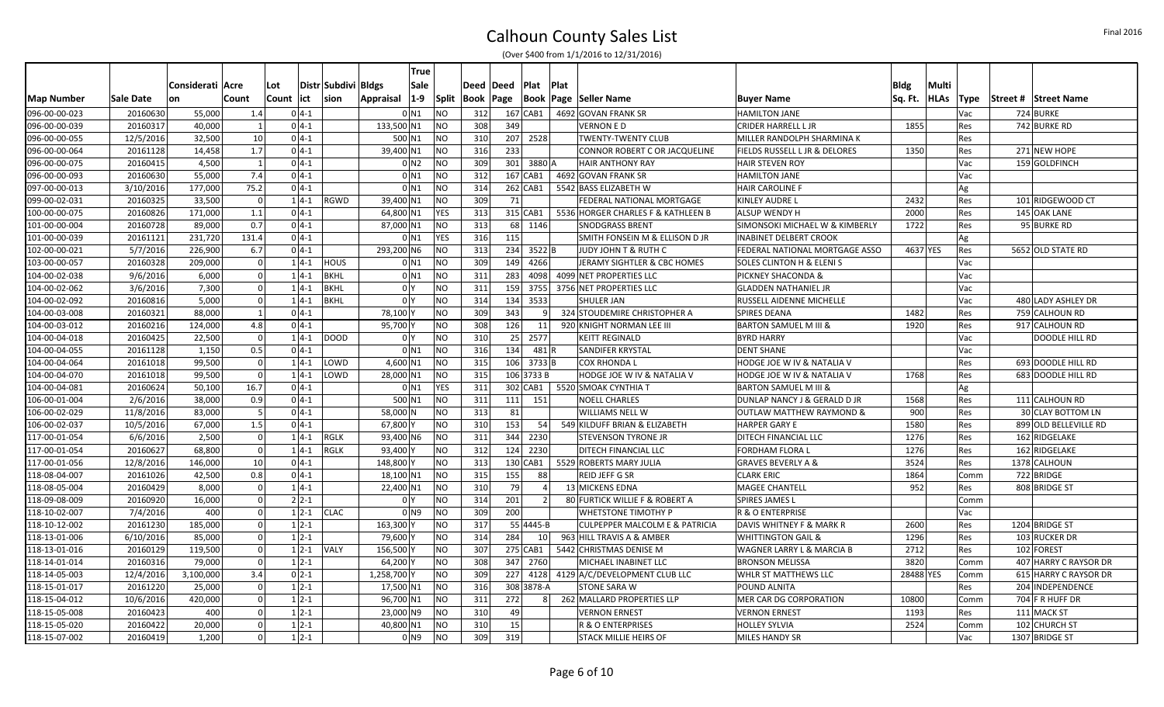|               |           |                  |          |              |                     | <b>True</b>        |              |             |              |                 |                                        |                                      |             |             |            |                       |
|---------------|-----------|------------------|----------|--------------|---------------------|--------------------|--------------|-------------|--------------|-----------------|----------------------------------------|--------------------------------------|-------------|-------------|------------|-----------------------|
|               |           | Considerati Acre |          | Lot          | Distr Subdivi Bldgs | Sale               |              | Deed   Deed | Plat         | <b>Plat</b>     |                                        |                                      | <b>Bldg</b> | Multi       |            |                       |
| Map Number    | Sale Date | <b>on</b>        | Count    | Count<br>ict | sion                | $1-9$<br>Appraisal | <b>Split</b> | Book Page   |              | Book            | Page Seller Name                       | <b>Buyer Name</b>                    | Sq. Ft.     | <b>HLAs</b> | Type       | Street # Street Name  |
| 096-00-00-023 | 20160630  | 55,000           | 1.4      | $0 4-1$      |                     | $0$ N1             | <b>NO</b>    | 312         | 167 CAB1     |                 | 4692 GOVAN FRANK SR                    | <b>HAMILTON JANE</b>                 |             |             | Vac        | 724 BURKE             |
| 096-00-00-039 | 20160317  | 40,000           |          | $0 4-1$      |                     | 133,500 N1         | <b>NO</b>    | 308         | 349          |                 | <b>VERNON E D</b>                      | <b>CRIDER HARRELL L JR</b>           | 1855        |             | Res        | 742 BURKE RD          |
| 096-00-00-055 | 12/5/2016 | 32,500           | 10       | $0 4-1$      |                     | 500 N1             | NO.          | 310         | 207 2528     |                 | TWENTY-TWENTY CLUB                     | MILLER RANDOLPH SHARMINA K           |             |             | Res        |                       |
| 096-00-00-064 | 20161128  | 14,458           | 1.7      | $0 4-1$      |                     | 39,400 N1          | <b>NO</b>    | 316         | 233          |                 | CONNOR ROBERT C OR JACQUELINE          | FIELDS RUSSELL L JR & DELORES        | 1350        |             | Res        | 271 NEW HOPE          |
| 096-00-00-075 | 20160415  | 4,500            |          | $0 4-1$      |                     | 0 <sub>N2</sub>    | <b>NO</b>    | 309         | 301 3880 A   |                 | <b>HAIR ANTHONY RAY</b>                | <b>HAIR STEVEN ROY</b>               |             |             | Vac        | 159 GOLDFINCH         |
| 096-00-00-093 | 20160630  | 55,000           | 7.4      | $0 4-1$      |                     | 0 <sub>N1</sub>    | <b>NO</b>    | 312         | 167 CAB1     |                 | 4692 GOVAN FRANK SR                    | <b>HAMILTON JANE</b>                 |             |             | Vac        |                       |
| 097-00-00-013 | 3/10/2016 | 177,000          | 75.2     | $0 4-1$      |                     | 0 <sub>N1</sub>    | <b>NO</b>    | 314         | $262$ CAB1   |                 | 5542 BASS ELIZABETH W                  | <b>HAIR CAROLINE F</b>               |             |             | Ag         |                       |
| 099-00-02-031 | 20160325  | 33,500           |          | $1 4-1 $     | <b>RGWD</b>         | 39,400 N1          | NO.          | 309         | 71           |                 | FEDERAL NATIONAL MORTGAGE              | <b>KINLEY AUDRE L</b>                | 2432        |             | Res        | 101 RIDGEWOOD CT      |
| 100-00-00-075 | 20160826  | 171,000          | 1.1      | $0 4-1$      |                     | 64,800 N1          | <b>YES</b>   | 313         | 315 CAB1     |                 | 5536 HORGER CHARLES F & KATHLEEN B     | <b>ALSUP WENDY H</b>                 | 2000        |             | Res        | 145 OAK LANE          |
| 101-00-00-004 | 20160728  | 89,000           | 0.7      | $0 4-1$      |                     | 87,000 N1          | NO           | 313         | 68 1146      |                 | <b>SNODGRASS BRENT</b>                 | SIMONSOKI MICHAEL W & KIMBERLY       | 1722        |             | Res        | 95 BURKE RD           |
| 101-00-00-039 | 20161121  | 231,720          | 131.4    | $0 4-1$      |                     | $0$ N1             | YES          | 316         | 115          |                 | SMITH FONSEIN M & ELLISON D JR         | <b>INABINET DELBERT CROOK</b>        |             |             | Ag         |                       |
| 102-00-00-021 | 5/7/2016  | 226,900          | 6.7      | $0 4-1$      |                     | 293,200 N6         | <b>NO</b>    | 313         | 234 3522 B   |                 | JUDY JOHN T & RUTH C                   | FEDERAL NATIONAL MORTGAGE ASSO       |             | 4637 YES    | Res        | 5652 OLD STATE RD     |
| 103-00-00-057 | 20160328  | 209,000          |          | $1 4-1$      | <b>HOUS</b>         | $0$ N1             | <b>NO</b>    | 309         | 149          | 4266            | JERAMY SIGHTLER & CBC HOMES            | <b>SOLES CLINTON H &amp; ELENI S</b> |             |             | Vac        |                       |
| 104-00-02-038 | 9/6/2016  | 6,000            | $\Omega$ | $1 4-1$      | <b>BKHL</b>         | $0$ N1             | <b>NO</b>    | 311         | 283          |                 | 4098 4099 NET PROPERTIES LLC           | PICKNEY SHACONDA &                   |             |             | Vac        |                       |
| 104-00-02-062 | 3/6/2016  | 7,300            |          | $14-1$       | <b>BKHL</b>         | 0 <sup>1</sup>     | <b>NO</b>    | 311         | 159          |                 | 3755 3756 NET PROPERTIES LLC           | <b>GLADDEN NATHANIEL JR</b>          |             |             | Vac        |                       |
| 104-00-02-092 | 20160816  | 5,000            | $\Omega$ | $1 4-1$      | <b>BKHL</b>         | 0 <sup>1</sup>     | <b>NO</b>    | 314         | 134          | 3533            | SHULER JAN                             | RUSSELL AIDENNE MICHELLE             |             |             | Vac        | 480 LADY ASHLEY DR    |
| 104-00-03-008 | 20160321  | 88,000           |          | $0 4-1$      |                     | 78,100             | NO           | 309         | 343          | q               | 324 STOUDEMIRE CHRISTOPHER A           | <b>SPIRES DEANA</b>                  | 1482        |             | Res        | 759 CALHOUN RD        |
| 104-00-03-012 | 20160216  | 124,000          | 4.8      | $0 4-1$      |                     | 95,700 Y           | <b>NO</b>    | 308         | 126          | 11              | 920 KNIGHT NORMAN LEE III              | <b>BARTON SAMUEL M III &amp;</b>     | 1920        |             | Res        | 917 CALHOUN RD        |
| 104-00-04-018 | 20160425  | 22.500           | $\Omega$ | $1 4-1$      | <b>DOOD</b>         | 0 <sup>1</sup>     | <b>NO</b>    | 310         | 25 2577      |                 | <b>KEITT REGINALD</b>                  | <b>BYRD HARRY</b>                    |             |             | Vac        | DOODLE HILL RD        |
| 104-00-04-055 | 20161128  | 1,150            | 0.5      | $0 4-1$      |                     | 0 <sub>N1</sub>    | <b>NO</b>    | 316         | 134          | 481 R           | <b>SANDIFER KRYSTAL</b>                | <b>DENT SHANE</b>                    |             |             | Vac        |                       |
| 104-00-04-064 | 20161018  | 99,500           |          | $1 4-1$      | LOWD                | 4,600 N1           | <b>NO</b>    | 315         | $106$ 3733 B |                 | COX RHONDA L                           | HODGE JOE W IV & NATALIA V           |             |             | Res        | 693 DOODLE HILL RD    |
| 104-00-04-070 | 20161018  | 99,500           |          | $14-1$       | LOWD                | 28,000 N1          | <b>NO</b>    | 315         | 106 3733 B   |                 | HODGE JOE W IV & NATALIA V             | HODGE JOE W IV & NATALIA V           | 1768        |             | Res        | 683 DOODLE HILL RD    |
| 104-00-04-081 | 20160624  | 50,100           | 16.7     | $0 4-1$      |                     | 0 <sub>N1</sub>    | <b>YES</b>   | 311         |              |                 | 302 CAB1   5520 SMOAK CYNTHIA T        | <b>BARTON SAMUEL M III &amp;</b>     |             |             | Ag         |                       |
| 106-00-01-004 | 2/6/2016  | 38,000           | 0.9      | $0 4-1$      |                     | 500 N1             | <b>NO</b>    | 311         | 111          | 151             | <b>NOELL CHARLES</b>                   | DUNLAP NANCY J & GERALD D JR         | 1568        |             | Res        | 111 CALHOUN RD        |
| 106-00-02-029 | 11/8/2016 | 83,000           | -5       | $0 4-1$      |                     | 58,000 N           | <b>NO</b>    | 313         | 81           |                 | WILLIAMS NELL W                        | <b>OUTLAW MATTHEW RAYMOND &amp;</b>  | 900         |             | Res        | 30 CLAY BOTTOM LN     |
| 106-00-02-037 | 10/5/2016 | 67,000           | 1.5      | $0 4-1$      |                     | 67,800             | <b>NO</b>    | 310         | 153          | 54              | 549 KILDUFF BRIAN & ELIZABETH          | <b>HARPER GARY E</b>                 | 1580        |             | Res        | 899 OLD BELLEVILLE RD |
| 117-00-01-054 | 6/6/2016  | 2,500            |          | $1 4-1 $     | <b>RGLK</b>         | 93,400 N6          | <b>NO</b>    | 311         | 344 2230     |                 | <b>STEVENSON TYRONE JR</b>             | DITECH FINANCIAL LLC                 | 1276        |             | Res        | 162 RIDGELAKE         |
| 117-00-01-054 | 20160627  | 68.800           | $\Omega$ | $14-1$       | <b>RGLK</b>         | 93.400 Y           | <b>NO</b>    | 312         | 124 2230     |                 | DITECH FINANCIAL LLC                   | <b>FORDHAM FLORA L</b>               | 1276        |             | Res        | 162 RIDGELAKE         |
| 117-00-01-056 | 12/8/2016 | 146,000          | 10       | $0 4-1$      |                     | 148,800            | <b>NO</b>    | 313         | 130 CAB1     |                 | 5529 ROBERTS MARY JULIA                | <b>GRAVES BEVERLY A &amp;</b>        | 3524        |             | Res        | 1378 CALHOUN          |
| 118-08-04-007 | 20161026  | 42,500           | 0.8      | $0 4-1$      |                     | 18,100 N1          | <b>NO</b>    | 315         | 155          | 88              | REID JEFF G SR                         | <b>CLARK ERIC</b>                    | 1864        |             | Comm       | 722 BRIDGE            |
| 118-08-05-004 | 20160429  | 8,000            |          | $14-1$       |                     | 22,400 N1          | <b>NO</b>    | 310         | 79           |                 | 13 MICKENS EDNA                        | <b>MAGEE CHANTELL</b>                | 952         |             | Res        | 808 BRIDGE ST         |
| 118-09-08-009 | 20160920  | 16,000           |          | $2 2-1$      |                     | 0 <sup>Y</sup>     | <b>NO</b>    | 314         | 201          | 2               | 80 FURTICK WILLIE F & ROBERT A         | <b>SPIRES JAMES L</b>                |             |             | Comm       |                       |
| 118-10-02-007 | 7/4/2016  | 400              |          | $1 2-1$      | <b>CLAC</b>         | 0 <sub>N9</sub>    | <b>NO</b>    | 309         | 200          |                 | WHETSTONE TIMOTHY P                    | <b>R &amp; O ENTERPRISE</b>          |             |             | Vac        |                       |
| 118-10-12-002 | 20161230  | 185,000          | $\Omega$ | $1 2-1$      |                     | 163,300\           | <b>NO</b>    | 317         | 55 4445-B    |                 | CULPEPPER MALCOLM E & PATRICIA         | DAVIS WHITNEY F & MARK R             | 2600        |             | Res        | 1204 BRIDGE ST        |
| 118-13-01-006 | 6/10/2016 | 85,000           |          | $1 2-1$      |                     | 79,600             | <b>NO</b>    | 314         | 284          | 10 <sup>1</sup> | 963 HILL TRAVIS A & AMBER              | <b>WHITTINGTON GAIL &amp;</b>        | 1296        |             | Res        | 103 RUCKER DR         |
| 118-13-01-016 | 20160129  | 119,500          |          | $1 2-1$      | <b>VALY</b>         | 156,500            | NO.          | 307         | 275 CAB1     |                 | 5442 CHRISTMAS DENISE M                | WAGNER LARRY L & MARCIA B            | 2712        |             | Res        | 102 FOREST            |
| 118-14-01-014 | 20160316  | 79,000           | $\Omega$ | $1 2-1$      |                     | 64,200             | <b>NO</b>    | 308         | 347 2760     |                 | MICHAEL INABINET LLC                   | <b>BRONSON MELISSA</b>               | 3820        |             | Comm       | 407 HARRY C RAYSOR DR |
| 118-14-05-003 | 12/4/2016 | 3,100,000        | 3.4      | $0 2-1$      |                     | 1,258,700\         | <b>NO</b>    | 309         |              |                 | 227 4128 4129 A/C/DEVELOPMENT CLUB LLC | WHLR ST MATTHEWS LLC                 | 28488 YES   |             | Comm       | 615 HARRY C RAYSOR DR |
| 118-15-01-017 | 20161220  | 25,000           | $\Omega$ | $1 2-1$      |                     | 17,500 N1          | <b>NO</b>    | 316         | 308 3878-A   |                 | <b>STONE SARA W</b>                    | POUND ALNITA                         |             |             | <b>Res</b> | 204 INDEPENDENCE      |
| 118-15-04-012 | 10/6/2016 | 420,000          |          | $12 - 1$     |                     | 96,700 N1          | <b>NO</b>    | 311         | 272          | 81              | 262 MALLARD PROPERTIES LLP             | MER CAR DG CORPORATION               | 10800       |             | Comm       | 704 F R HUFF DR       |
| 118-15-05-008 | 20160423  | 400              |          | $1 2-1$      |                     | 23,000 N9          | NO.          | 310         | 49           |                 | <b>VERNON ERNEST</b>                   | <b>VERNON ERNEST</b>                 | 1193        |             | Res        | 111 MACK ST           |
| 118-15-05-020 | 20160422  | 20,000           | $\Omega$ | $1 2-1$      |                     | 40,800 N1          | <b>NO</b>    | 310         | 15           |                 | R & O ENTERPRISES                      | <b>HOLLEY SYLVIA</b>                 | 2524        |             | Comm       | 102 CHURCH ST         |
| 118-15-07-002 | 20160419  | 1,200            |          | $1 2-1$      |                     | 0 <sub>N</sub> 9   | <b>NO</b>    | 309         | 319          |                 | <b>STACK MILLIE HEIRS OF</b>           | <b>MILES HANDY SR</b>                |             |             | Vac        | 1307 BRIDGE ST        |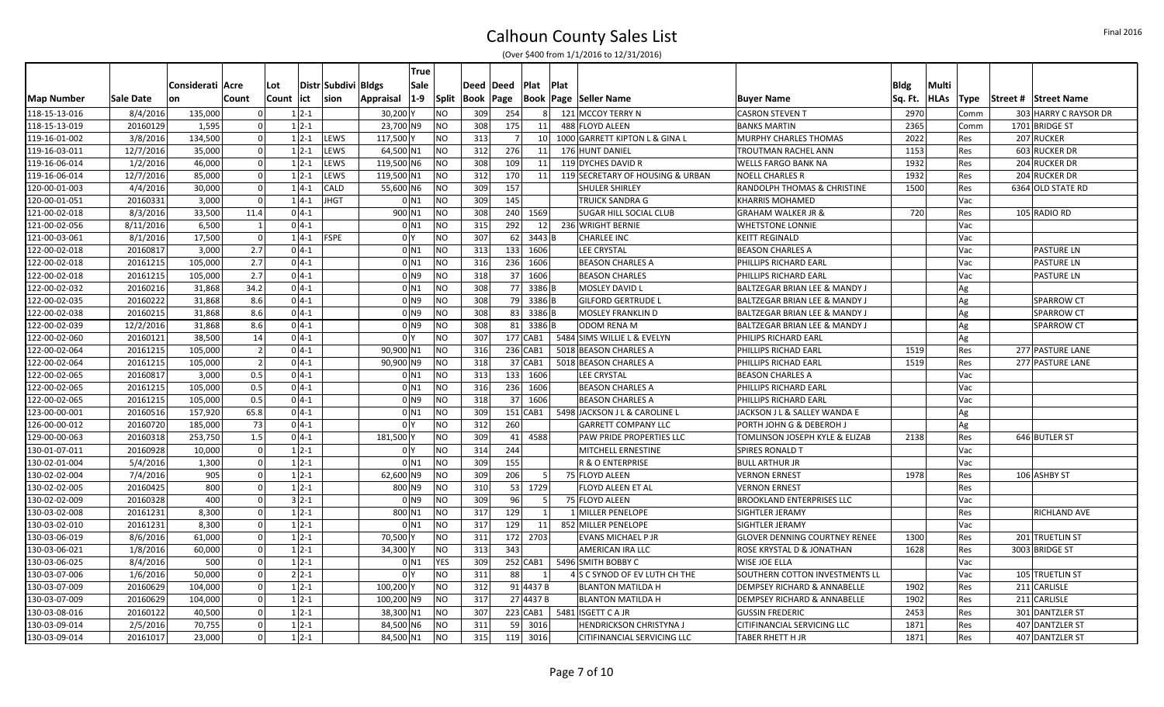|                   |           |                  |                |            |              |                     |                      | <b>True</b>                      |                  |            |             |      |                                  |                                          |             |             |             |                             |
|-------------------|-----------|------------------|----------------|------------|--------------|---------------------|----------------------|----------------------------------|------------------|------------|-------------|------|----------------------------------|------------------------------------------|-------------|-------------|-------------|-----------------------------|
|                   |           | Considerati Acre |                | Lot        |              | Distr Subdivi Bldgs |                      | Sale                             | Deed Deed        |            | <b>Plat</b> | Plat |                                  |                                          | <b>Bldg</b> | Multi       |             |                             |
| <b>Map Number</b> | Sale Date | on               | Count          | Count lict |              | <b>sion</b>         | Appraisal            | $1-9$<br>Split                   | <b>Book Page</b> |            | Book        |      | Page   Seller Name               | <b>Buyer Name</b>                        | Sq. Ft.     | <b>HLAs</b> | <b>Type</b> | <b>Street # Street Name</b> |
| 118-15-13-016     | 8/4/2016  | 135,000          | $\Omega$       |            | $1 2-1$      |                     | 30,200 Y             | <b>NO</b>                        | 309              | 254        |             |      | 121 MCCOY TERRY N                | <b>CASRON STEVEN T</b>                   | 2970        |             | Comm        | 303 HARRY C RAYSOR DR       |
| 118-15-13-019     | 20160129  | 1,595            |                |            | $1 2-1$      |                     | 23,700 N9            | <b>NO</b>                        | 308              | 175        | 11          |      | 488 FLOYD ALEEN                  | <b>BANKS MARTIN</b>                      | 2365        |             | Comm        | 1701 BRIDGE ST              |
| 119-16-01-002     | 3/8/2016  | 134,500          |                |            | $1 \, 2 - 1$ | LEWS                | 117,500 Y            | <b>NO</b>                        | 313              |            | 10          |      | 1000 GARRETT KIPTON L & GINA L   | MURPHY CHARLES THOMAS                    | 2022        |             | Res         | 207 RUCKER                  |
| 119-16-03-011     | 12/7/2016 | 35,000           | $\Omega$       |            | $1 \, 2 - 1$ | LEWS                | 64,500 N1            | <b>NO</b>                        | 312              | 276        | 11          |      | 176 HUNT DANIEL                  | TROUTMAN RACHEL ANN                      | 1153        |             | Res         | 603 RUCKER DR               |
| 119-16-06-014     | 1/2/2016  | 46,000           | $\Omega$       |            | $1 \, 2 - 1$ | LEWS                | 119,500 N6           | <b>NO</b>                        | 308              | 109        | 11          |      | 119 DYCHES DAVID R               | <b>WELLS FARGO BANK NA</b>               | 1932        |             | Res         | 204 RUCKER DR               |
| 119-16-06-014     | 12/7/2016 | 85,000           | $\Omega$       |            | $1 \, 2 - 1$ | LEWS                | 119,500 N1           | <b>NO</b>                        | 312              | 170        | 11          |      | 119 SECRETARY OF HOUSING & URBAN | <b>NOELL CHARLES R</b>                   | 1932        |             | Res         | 204 RUCKER DR               |
| 120-00-01-003     | 4/4/2016  | 30,000           |                |            | $1 4-1$      | <b>CALD</b>         | 55,600 N6            | <b>NO</b>                        | 309              | 157        |             |      | <b>SHULER SHIRLEY</b>            | RANDOLPH THOMAS & CHRISTINE              | 1500        |             | Res         | 6364 OLD STATE RD           |
| 120-00-01-051     | 20160331  | 3,000            | $\Omega$       |            | $14-1$       | JHGT                |                      | <b>NO</b><br>0 <sub>N1</sub>     | 309              | 145        |             |      | TRUICK SANDRA G                  | <b>KHARRIS MOHAMED</b>                   |             |             | Vac         |                             |
| 121-00-02-018     | 8/3/2016  | 33,500           | 11.4           |            | $0 4-1 $     |                     | 900 N1               | <b>NO</b>                        | 308              |            | 240 1569    |      | <b>SUGAR HILL SOCIAL CLUB</b>    | <b>GRAHAM WALKER JR &amp;</b>            | 720         |             | <b>Res</b>  | 105 RADIO RD                |
| 121-00-02-056     | 8/11/2016 | 6,500            | $\vert$ 1      |            | $0 4-1 $     |                     |                      | <b>NO</b><br>$0$ N1              | 315              | 292        | 12          |      | 236 WRIGHT BERNIE                | <b>WHETSTONE LONNIE</b>                  |             |             | Vac         |                             |
| 121-00-03-061     | 8/1/2016  | 17,500           | $\Omega$       |            | $1 4-1 $     | <b>FSPE</b>         |                      | 0 <sup>1</sup><br><b>NO</b>      | 307              | 62         | $3443$ B    |      | <b>CHARLEE INC</b>               | <b>KEITT REGINALD</b>                    |             |             | Vac         |                             |
| 122-00-02-018     | 20160817  | 3,000            | 2.7            |            | $0 4-1 $     |                     |                      | <b>NO</b><br>$0$ N1              | 313              | 133        | 1606        |      | LEE CRYSTAL                      | <b>BEASON CHARLES A</b>                  |             |             | Vac         | <b>PASTURE LN</b>           |
| 122-00-02-018     | 20161215  | 105,000          | 2.7            |            | $0 4-1 $     |                     |                      | <b>NO</b><br>$0$ N <sub>1</sub>  | 316              | 236        | 1606        |      | <b>BEASON CHARLES A</b>          | PHILLIPS RICHARD EARL                    |             |             | Vac         | <b>PASTURE LN</b>           |
| 122-00-02-018     | 20161215  | 105,000          | 2.7            |            | $0 4-1 $     |                     |                      | <b>NO</b><br>0 <sub>1</sub>      | 318              | 37         | 1606        |      | <b>BEASON CHARLES</b>            | PHILLIPS RICHARD EARL                    |             |             | Vac         | <b>PASTURE LN</b>           |
| 122-00-02-032     | 20160216  | 31,868           | 34.2           |            | $0 4-1 $     |                     |                      | <b>NO</b><br>$0$ N1              | 308              |            | 77 3386 B   |      | MOSLEY DAVID L                   | BALTZEGAR BRIAN LEE & MANDY J            |             | Ag          |             |                             |
| 122-00-02-035     | 20160222  | 31,868           | 8.6            |            | $0 4-1 $     |                     |                      | <b>NO</b><br>$01$ N <sub>9</sub> | 308              |            | 79 3386 B   |      | GILFORD GERTRUDE L               | BALTZEGAR BRIAN LEE & MANDY J            |             | Ag          |             | <b>SPARROW CT</b>           |
| 122-00-02-038     | 20160215  | 31,868           | 8.6            |            | $0 4-1 $     |                     |                      | <b>NO</b><br>$01$ N <sub>9</sub> | 308              |            | 83 3386 B   |      | <b>MOSLEY FRANKLIN D</b>         | BALTZEGAR BRIAN LEE & MANDY J            |             | Ag          |             | <b>SPARROW CT</b>           |
| 122-00-02-039     | 12/2/2016 | 31.868           | 8.6            |            | $0 4-1$      |                     |                      | <b>NO</b><br>$01$ N <sub>9</sub> | 308              |            | 81 3386 B   |      | ODOM RENA M                      | <b>BALTZEGAR BRIAN LEE &amp; MANDY J</b> |             | Ag          |             | <b>SPARROW CT</b>           |
| 122-00-02-060     | 20160121  | 38,500           | 14             |            | $0 4-1 $     |                     | 0 <sup>1</sup>       | <b>NO</b>                        | 307              | $177$ CAB1 |             |      | 5484 SIMS WILLIE L & EVELYN      | PHILIPS RICHARD EARL                     |             | Ag          |             |                             |
| 122-00-02-064     | 20161215  | 105,000          | $\vert$ 2      |            | $0 4-1 $     |                     | 90,900 N1            | <b>NO</b>                        | 316              |            | 236 CAB1    |      | 5018 BEASON CHARLES A            | PHILLIPS RICHAD EARL                     | 1519        |             | Res         | 277 PASTURE LANE            |
| 122-00-02-064     | 20161215  | 105,000          | $\overline{2}$ |            | $0 4-1 $     |                     | 90,900 N9            | <b>NO</b>                        | 318              |            | 37 CAB1     |      | 5018 BEASON CHARLES A            | PHILLIPS RICHAD EARL                     | 1519        |             | Res         | 277 PASTURE LANE            |
| 122-00-02-065     | 20160817  | 3,000            | 0.5            |            | $0 4-1 $     |                     |                      | <b>NO</b><br>$0$ N1              | 313              |            | 133 1606    |      | <b>LEE CRYSTAL</b>               | <b>BEASON CHARLES A</b>                  |             |             | Vac         |                             |
| 122-00-02-065     | 20161215  | 105,000          | 0.5            |            | $0 4-1 $     |                     |                      | <b>NO</b><br>0 <sub>N1</sub>     | 316              |            | 236 1606    |      | <b>BEASON CHARLES A</b>          | PHILLIPS RICHARD EARL                    |             |             | Vac         |                             |
| 122-00-02-065     | 20161215  | 105,000          | 0.5            |            | $0 4-1 $     |                     |                      | <b>NO</b><br>0 <sub>1</sub>      | 318              | 37         | 1606        |      | <b>BEASON CHARLES A</b>          | PHILLIPS RICHARD EARL                    |             |             | Vac         |                             |
| 123-00-00-001     | 20160516  | 157,920          | 65.8           |            | $0 4-1 $     |                     |                      | <b>NO</b><br>$0$ N <sub>1</sub>  | 309              | 151 CAB1   |             |      | 5498 JACKSON J L & CAROLINE L    | JACKSON J L & SALLEY WANDA E             |             | Ag          |             |                             |
| 126-00-00-012     | 20160720  | 185,000          | 73             |            | $0 4-1 $     |                     |                      | 0 <sup>1</sup><br><b>NO</b>      | 312              | 260        |             |      | <b>GARRETT COMPANY LLC</b>       | PORTH JOHN G & DEBEROH J                 |             | Ag          |             |                             |
| 129-00-00-063     | 20160318  | 253,750          | 1.5            |            | $0 4-1 $     |                     | 181,500 Y            | <b>NO</b>                        | 309              | 41         | 4588        |      | PAW PRIDE PROPERTIES LLC         | TOMLINSON JOSEPH KYLE & ELIZAB           | 2138        |             | Res         | 646 BUTLER ST               |
| 130-01-07-011     | 20160928  | 10,000           | $\Omega$       |            | $1 2-1$      |                     |                      | <b>NO</b><br>0 <sup>1</sup>      | 314              | 244        |             |      | MITCHELL ERNESTINE               | SPIRES RONALD T                          |             |             | Vac         |                             |
| 130-02-01-004     | 5/4/2016  | 1,300            | $\Omega$       |            | $1 \, 2 - 1$ |                     |                      | <b>NO</b><br>0 <sub>N1</sub>     | 309              | 155        |             |      | R & O ENTERPRISE                 | <b>BULL ARTHUR JR</b>                    |             |             | Vac         |                             |
| 130-02-02-004     | 7/4/2016  | 905              | $\Omega$       |            | $1 2-1$      |                     | 62,600 N9            | <b>NO</b>                        | 309              | 206        |             |      | 75 FLOYD ALEEN                   | <b>VERNON ERNES</b>                      | 1978        |             | Res         | 106 ASHBY ST                |
| 130-02-02-005     | 20160425  | 800              | $\Omega$       |            | $1 \, 2 - 1$ |                     | 800 N9               | <b>NO</b>                        | 310              |            | 53 1729     |      | FLOYD ALEEN ET AL                | <b>VERNON ERNEST</b>                     |             |             | Res         |                             |
| 130-02-02-009     | 20160328  | 400              | $\Omega$       |            | $3 2-1$      |                     |                      | <b>NO</b><br>$01$ N <sub>9</sub> | 309              | 96         |             |      | 75 FLOYD ALEEN                   | <b>BROOKLAND ENTERPRISES LLC</b>         |             |             | Vac         |                             |
| 130-03-02-008     | 20161231  | 8,300            | $\Omega$       |            | $1 \, 2 - 1$ |                     | 800 N1               | <b>NO</b>                        | 317              | 129        |             |      | 1 MILLER PENELOPE                | SIGHTLER JERAMY                          |             |             | <b>Res</b>  | RICHLAND AVE                |
| 130-03-02-010     | 20161231  | 8,300            | $\Omega$       |            | $1 \, 2 - 1$ |                     |                      | <b>NO</b><br>$0$ N1              | 317              | 129        | 11          |      | 852 MILLER PENELOPE              | SIGHTLER JERAMY                          |             |             | Vac         |                             |
| 130-03-06-019     | 8/6/2016  | 61,000           |                |            | $1 2-1$      |                     | 70,500               | <b>NO</b>                        | 311              |            | 172 2703    |      | <b>EVANS MICHAEL P JR</b>        | <b>GLOVER DENNING COURTNEY RENEE</b>     | 1300        |             | Res         | 201 TRUETLIN ST             |
| 130-03-06-021     | 1/8/2016  | 60,000           | $\Omega$       |            | $1 2-1$      |                     | 34,300 Y             | <b>NO</b>                        | 313              | 343        |             |      | AMERICAN IRA LLC                 | ROSE KRYSTAL D & JONATHAN                | 1628        |             | Res         | 3003 BRIDGE ST              |
| 130-03-06-025     | 8/4/2016  | 500              | $\Omega$       |            | $1 \, 2 - 1$ |                     |                      | $0$ N <sub>1</sub><br><b>YES</b> | 309              |            | $252$ CAB1  |      | 5496 SMITH BOBBY C               | <b>WISE JOE ELLA</b>                     |             |             | Vac         |                             |
| 130-03-07-006     | 1/6/2016  | 50,000           | $\Omega$       |            | $2 2-1 $     |                     |                      | <b>NO</b><br>0 <sup>1</sup>      | 311              | 88         |             |      | 4 S C SYNOD OF EV LUTH CH THE    | SOUTHERN COTTON INVESTMENTS LL           |             |             | Vac         | 105 TRUETLIN ST             |
| 130-03-07-009     | 20160629  | 104,000          | $\Omega$       |            | $1 \, 2 - 1$ |                     | 100,200 <sup>1</sup> | <b>NO</b>                        | 312              |            | 91 4437 B   |      | <b>BLANTON MATILDA H</b>         | DEMPSEY RICHARD & ANNABELLE              | 1902        |             | Res         | 211 CARLISLE                |
| 130-03-07-009     | 20160629  | 104,000          |                |            | $1 2-1$      |                     | 100,200 N9           | <b>NO</b>                        | 317              |            | 27 4437 B   |      | <b>BLANTON MATILDA H</b>         | <b>DEMPSEY RICHARD &amp; ANNABELLE</b>   | 1902        |             | Res         | 211 CARLISLE                |
| 130-03-08-016     | 20160122  | 40,500           | $\Omega$       |            | $1 \, 2 - 1$ |                     | 38,300 N1            | <b>NO</b>                        | 307              |            | $223$ CAB1  |      | 5481 ISGETT C A JR               | <b>GUSSIN FREDERIC</b>                   | 2453        |             | Res         | 301 DANTZLER ST             |
| 130-03-09-014     | 2/5/2016  | 70,755           | $\Omega$       |            | $1 2-1$      |                     | 84,500 N6            | <b>NO</b>                        | 311              |            | 59 3016     |      | <b>HENDRICKSON CHRISTYNA J</b>   | CITIFINANCIAL SERVICING LLC              | 1871        |             | Res         | 407 DANTZLER ST             |
|                   |           | 23,000           | $\Omega$       |            |              |                     |                      | <b>NO</b>                        | 315              |            |             |      |                                  |                                          | 1871        |             | Res         |                             |
| 130-03-09-014     | 20161017  |                  |                |            | $1 \, 2 - 1$ |                     | 84,500 N1            |                                  |                  |            | 119 3016    |      | CITIFINANCIAL SERVICING LLC      | TABER RHETT H JR                         |             |             |             | 407 DANTZLER ST             |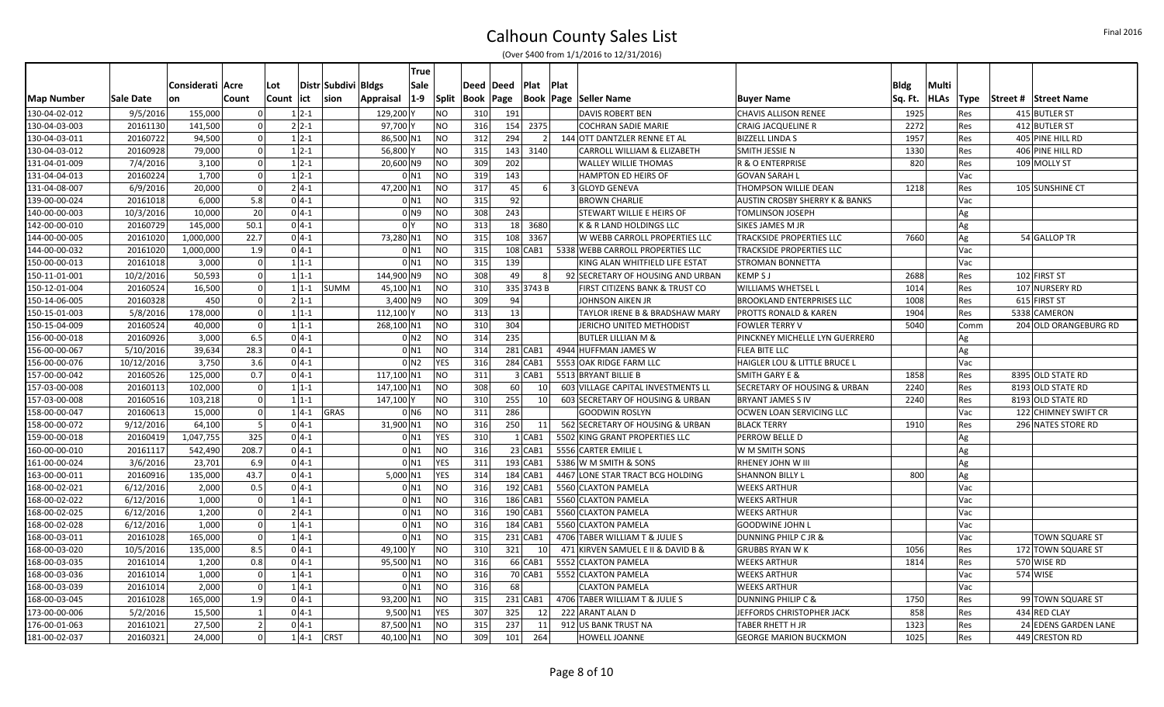|                   |            |                  |              |              |                     |            | True               |           |             |            |            |                                    |                                  |         |             |            |                             |
|-------------------|------------|------------------|--------------|--------------|---------------------|------------|--------------------|-----------|-------------|------------|------------|------------------------------------|----------------------------------|---------|-------------|------------|-----------------------------|
|                   |            | Considerati Acre |              | Lot          | Distr Subdivi Bldgs |            | Sale               |           | Deed   Deed |            | Plat       | Plat                               |                                  | Bldg    | Multi       |            |                             |
| <b>Map Number</b> | Sale Date  | <b>on</b>        | Count        | Count lict   | sion                | Appraisal  | $1-9$              | Split     | Book        | Page       |            | <b>Book   Page   Seller Name</b>   | <b>Buyer Name</b>                | Sq. Ft. | <b>HLAs</b> | Type       | <b>Street # Street Name</b> |
| 130-04-02-012     | 9/5/2016   | 155,000          |              | $1 2-1$      |                     | 129,200 Y  |                    | NO        | 310         | 191        |            | <b>DAVIS ROBERT BEN</b>            | CHAVIS ALLISON RENEE             | 1925    |             | Res        | 415 BUTLER ST               |
| 130-04-03-003     | 20161130   | 141,500          |              | $2 2-1 $     |                     | 97,700 Y   |                    | NO        | 316         | 154        | 2375       | COCHRAN SADIE MARIE                | CRAIG JACQUELINE R               | 2272    |             | Res        | 412 BUTLER ST               |
| 130-04-03-011     | 20160722   | 94,500           |              | $1 2-1$      |                     | 86,500 N1  |                    | <b>NO</b> | 312         | 294        |            | 144 OTT DANTZLER RENNE ET AL       | <b>BIZZELL LINDA S</b>           | 1957    |             | Res        | 405 PINE HILL RD            |
| 130-04-03-012     | 20160928   | 79,000           | $\Omega$     | $1 \, 2 - 1$ |                     | 56,800 Y   |                    | NO.       | 315         | 143        | 3140       | CARROLL WILLIAM & ELIZABETH        | SMITH JESSIE N                   | 1330    |             | Res        | 406 PINE HILL RD            |
| 131-04-01-009     | 7/4/2016   | 3,100            | $\sqrt{ }$   | $1 \, 2 - 1$ |                     | 20,600 N9  |                    | NO        | 309         | 202        |            | <b>WALLEY WILLIE THOMAS</b>        | R & O ENTERPRISE                 | 820     |             | Res        | 109 MOLLY ST                |
| 131-04-04-013     | 20160224   | 1,700            | $\sqrt{ }$   | $12-1$       |                     |            | 0 <sub>N1</sub>    | NO.       | 319         | 143        |            | <b>HAMPTON ED HEIRS OF</b>         | <b>GOVAN SARAH I</b>             |         |             | Vac        |                             |
| 131-04-08-007     | 6/9/2016   | 20,000           |              | $2 4-1 $     |                     | 47,200 N1  |                    | NO.       | 317         | 45         |            | 3 GLOYD GENEVA                     | THOMPSON WILLIE DEAN             | 1218    |             | Res        | 105 SUNSHINE CT             |
| 139-00-00-024     | 20161018   | 6,000            | 5.8          | $0 4-1 $     |                     |            | 0 <sub>N1</sub>    | NO.       | 315         | 92         |            | <b>BROWN CHARLIE</b>               | AUSTIN CROSBY SHERRY K & BANKS   |         |             | Vac        |                             |
| 140-00-00-003     | 10/3/2016  | 10,000           | 20           | $0 4-1 $     |                     |            | 0 N9               | NO        | 308         | 243        |            | STEWART WILLIE E HEIRS OF          | TOMLINSON JOSEPH                 |         | Ag          |            |                             |
| 142-00-00-010     | 20160729   | 145,000          | 50.1         | $0 4-1 $     |                     |            | 0 <sup>1</sup>     | NO        | 313         | 18         | 3680       | K & R LAND HOLDINGS LLC            | SIKES JAMES M JR                 |         | Ag          |            |                             |
| 144-00-00-005     | 20161020   | 1,000,000        | 22.7         | $0 4-1 $     |                     | 73,280 N1  |                    | NO.       | 315         | 108        | 3367       | W WEBB CARROLL PROPERTIES LLC      | TRACKSIDE PROPERTIES LLC         | 7660    | Ag          |            | 54 GALLOP TR                |
| 144-00-00-032     | 20161020   | 1,000,000        | 1.9          | $0 4-1 $     |                     |            | 0 <sub>N1</sub>    | NO.       | 315         | 108 CAB1   |            | 5338 WEBB CARROLL PROPERTIES LLC   | TRACKSIDE PROPERTIES LLC         |         |             | Vac        |                             |
| 150-00-00-013     | 20161018   | 3,000            | $\sqrt{ }$   | $11-1$       |                     |            | $0$ N <sub>1</sub> | NO.       | 315         | 139        |            | KING ALAN WHITFIELD LIFE ESTAT     | <b>STROMAN BONNETTA</b>          |         |             | Vac        |                             |
| 150-11-01-001     | 10/2/2016  | 50,593           | $\sqrt{ }$   | $1 1-1$      |                     | 144,900 N9 |                    | ΝO        | 308         | 49         |            | 92 SECRETARY OF HOUSING AND URBAN  | <b>KEMPSJ</b>                    | 2688    |             | Res        | 102 FIRST ST                |
| 150-12-01-004     | 20160524   | 16,500           | $\mathsf{r}$ | $11-1$       | <b>SUMM</b>         | 45,100 N1  |                    | NO        | 310         | 335 3743 B |            | FIRST CITIZENS BANK & TRUST CO     | WILLIAMS WHETSEL L               | 1014    |             | Res        | 107 NURSERY RD              |
| 150-14-06-005     | 20160328   | 450              |              | $2 1-1$      |                     | 3,400 N9   |                    | NO        | 309         | 94         |            | JOHNSON AIKEN JR                   | <b>BROOKLAND ENTERPRISES LLC</b> | 1008    |             | Res        | 615 FIRST ST                |
| 150-15-01-003     | 5/8/2016   | 178,000          | $\sqrt{ }$   | $1 1-1$      |                     | 112,100 Y  |                    | NO.       | 313         | 13         |            | TAYLOR IRENE B & BRADSHAW MARY     | PROTTS RONALD & KAREN            | 1904    |             | Res        | 5338 CAMERON                |
| 150-15-04-009     | 20160524   | 40,000           | $\sqrt{ }$   | $1 1-1$      |                     | 268,100 N1 |                    | NO.       | 310         | 304        |            | JERICHO UNITED METHODIST           | <b>FOWLER TERRY V</b>            | 5040    |             | Comm       | 204 OLD ORANGEBURG RD       |
| 156-00-00-018     | 20160926   | 3,000            | 6.5          | $0 4-1 $     |                     |            | 0 <sub>N2</sub>    | NO        | 314         | 235        |            | <b>BUTLER LILLIAN M &amp;</b>      | PINCKNEY MICHELLE LYN GUERRERO   |         | Ag          |            |                             |
| 156-00-00-067     | 5/10/2016  | 39,634           | 28.3         | $04-1$       |                     |            | 0 <sub>N1</sub>    | NO.       | 314         | 281 CAB1   |            | 4944 HUFFMAN JAMES W               | <b>FLEA BITE LLC</b>             |         | Ag          |            |                             |
| 156-00-00-076     | 10/12/2016 | 3,750            | 3.6          | $04-1$       |                     |            | 0 <sub>N2</sub>    | YES       | 316         | 284 CAB1   |            | 5553 OAK RIDGE FARM LLC            | HAIGLER LOU & LITTLE BRUCE L     |         |             | Vac        |                             |
| 157-00-00-042     | 20160526   | 125,000          | 0.7          | $0 4-1 $     |                     | 117,100 N1 |                    | NO.       | 311         |            | 3 CAB1     | 5513 BRYANT BILLIE B               | <b>SMITH GARY E &amp;</b>        | 1858    |             | <b>Res</b> | 8395 OLD STATE RD           |
| 157-03-00-008     | 20160113   | 102,000          | $\sqrt{ }$   | $1 1-1$      |                     | 147,100 N1 |                    | NO        | 308         | 60         | 10         | 603 VILLAGE CAPITAL INVESTMENTS LL | SECRETARY OF HOUSING & URBAN     | 2240    |             | Res        | 8193 OLD STATE RD           |
| 157-03-00-008     | 20160516   | 103,218          | $\sqrt{ }$   | $11-1$       |                     | 147,100 Y  |                    | NO        | 310         | 255        | 10         | 603 SECRETARY OF HOUSING & URBAN   | <b>BRYANT JAMES S IV</b>         | 2240    |             | Res        | 8193 OLD STATE RD           |
| 158-00-00-047     | 20160613   | 15,000           |              | $1 4-1$      | GRAS                |            | 0 <sub>N6</sub>    | NO        | 311         | 286        |            | <b>GOODWIN ROSLYN</b>              | OCWEN LOAN SERVICING LLC         |         |             | Vac        | 122 CHIMNEY SWIFT CR        |
| 158-00-00-072     | 9/12/2016  | 64,100           |              | $0 4-1$      |                     | 31,900 N1  |                    | NO        | 316         | 250        | 11         | 562 SECRETARY OF HOUSING & URBAN   | <b>BLACK TERRY</b>               | 1910    |             | Res        | 296 NATES STORE RD          |
| 159-00-00-018     | 20160419   | 1,047,755        | 325          | $04-1$       |                     |            | 0 <sub>N1</sub>    | YES       | 310         |            | $1$ $CAB1$ | 5502 KING GRANT PROPERTIES LLC     | PERROW BELLE D                   |         | Ag          |            |                             |
| 160-00-00-010     | 20161117   | 542,490          | 208.7        | $0 4-1 $     |                     |            | 0 <sub>N1</sub>    | NO.       | 316         | $23$ CAB1  |            | 5556 CARTER EMILIE L               | W M SMITH SONS                   |         | Ag          |            |                             |
| 161-00-00-024     | 3/6/2016   | 23,701           | 6.9          | $0 4-1 $     |                     |            | $0$ N1             | YES       | 311         | 193 CAB1   |            | 5386 W M SMITH & SONS              | RHENEY JOHN W III                |         | Ag          |            |                             |
| 163-00-00-011     | 20160916   | 135,000          | 43.7         | $0 4-1 $     |                     | 5,000 N1   |                    | YES       | 314         | 184 CAB1   |            | 4467 LONE STAR TRACT BCG HOLDING   | <b>SHANNON BILLY L</b>           | 800     | Ag          |            |                             |
| 168-00-02-021     | 6/12/2016  | 2,000            | 0.5          | $0 4-1 $     |                     |            | 0 <sub>N1</sub>    | NO        | 316         | 192 CAB1   |            | 5560 CLAXTON PAMELA                | <b>WEEKS ARTHUR</b>              |         |             | Vac        |                             |
| 168-00-02-022     | 6/12/2016  | 1,000            | $\Omega$     | $1 4-1$      |                     |            | 0 <sub>N1</sub>    | NO.       | 316         | 186 CAB1   |            | 5560 CLAXTON PAMELA                | <b>WEEKS ARTHUR</b>              |         |             | Vac        |                             |
| 168-00-02-025     | 6/12/2016  | 1,200            | $\sqrt{ }$   | $2 4-1 $     |                     |            | 0 <sub>N1</sub>    | NO.       | 316         | 190 CAB1   |            | 5560 CLAXTON PAMELA                | <b>WEEKS ARTHUR</b>              |         |             | Vac        |                             |
| 168-00-02-028     | 6/12/2016  | 1,000            | - 0          | $1 4-1$      |                     |            | $0$ N1             | NO.       | 316         | 184 CAB1   |            | 5560 CLAXTON PAMELA                | <b>GOODWINE JOHN L</b>           |         |             | Vac        |                             |
| 168-00-03-011     | 20161028   | 165,000          |              | $1 4-1$      |                     |            | $0$ N1             | NO        | 315         | 231 CAB1   |            | 4706 TABER WILLIAM T & JULIE S     | DUNNING PHILP C JR &             |         |             | Vac        | <b>TOWN SQUARE ST</b>       |
| 168-00-03-020     | 10/5/2016  | 135,000          | 8.5          | $0 4-1 $     |                     | 49,100 Y   |                    | NO.       | 310         | 321        | 10         | 471 KIRVEN SAMUEL E II & DAVID B & | <b>GRUBBS RYAN WK</b>            | 1056    |             | Res        | 172 TOWN SQUARE ST          |
| 168-00-03-035     | 20161014   | 1,200            | 0.8          | $0 4-1 $     |                     | 95,500 N1  |                    | NO.       | 316         | 66 CAB1    |            | 5552 CLAXTON PAMELA                | <b>WEEKS ARTHUR</b>              | 1814    |             | <b>Res</b> | 570 WISE RD                 |
| 168-00-03-036     | 20161014   | 1,000            | $\sqrt{ }$   | $1 4-1$      |                     |            | 0 <sub>N1</sub>    | ΝO        | 316         | 70 CAB1    |            | 5552 CLAXTON PAMELA                | <b>WEEKS ARTHUR</b>              |         |             | Vac        | 574 WISE                    |
| 168-00-03-039     | 20161014   | 2,000            | $\sqrt{ }$   | $1 4-1$      |                     |            | 0 <sub>N1</sub>    | NO        | 316         | 68         |            | <b>CLAXTON PAMELA</b>              | WEEKS ARTHUR                     |         |             | Vac        |                             |
| 168-00-03-045     | 20161028   | 165,000          | 1.9          | $0 4-1 $     |                     | 93,200 N1  |                    | NO        | 315         | $231$ CAB1 |            | 4706 TABER WILLIAM T & JULIE S     | DUNNING PHILIP C &               | 1750    |             | Res        | 99 TOWN SQUARE ST           |
| 173-00-00-006     | 5/2/2016   | 15,500           |              | $0 4-1 $     |                     | 9,500 N1   |                    | YES       | 307         | 325        | 12         | 222 ARANT ALAN D                   | JEFFORDS CHRISTOPHER JACK        | 858     |             | Res        | 434 RED CLAY                |
| 176-00-01-063     | 20161021   | 27,500           |              | $0 4-1 $     |                     | 87,500 N1  |                    | NO.       | 315         | 237        | 11         | 912 US BANK TRUST NA               | TABER RHETT H JR                 | 1323    |             | Res        | 24 EDENS GARDEN LANE        |
| 181-00-02-037     | 20160321   | 24,000           |              | $1 4-1$      | <b>CRST</b>         | 40,100 N1  |                    | NO        | 309         | 101        | 264        | HOWELL JOANNE                      | <b>GEORGE MARION BUCKMON</b>     | 1025    |             | <b>Res</b> | 449 CRESTON RD              |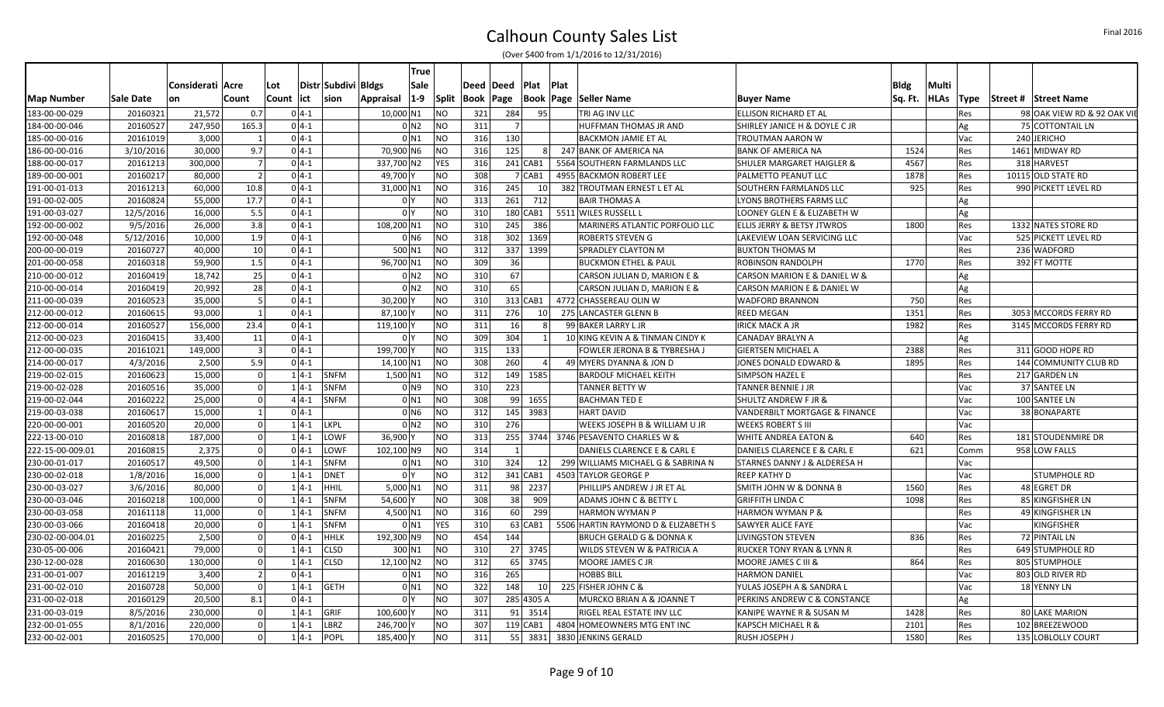|                   |           |                  |                |            |          |                     |            | <b>True</b>                   |     |             |                |                 |      |                                     |                                      |         |             |             |                             |
|-------------------|-----------|------------------|----------------|------------|----------|---------------------|------------|-------------------------------|-----|-------------|----------------|-----------------|------|-------------------------------------|--------------------------------------|---------|-------------|-------------|-----------------------------|
|                   |           | Considerati Acre |                | Lot        |          | Distr Subdivi Bldgs |            | Sale                          |     | Deed   Deed | Plat           |                 | Plat |                                     |                                      | Bldg    | Multi       |             |                             |
| <b>Map Number</b> | Sale Date | on               | Count          | Count  ict |          | sion                | Appraisal  | $1-9$<br><b>Split</b>         |     | Book   Page |                |                 |      | Book   Page   Seller Name           | <b>Buyer Name</b>                    | Sq. Ft. | <b>HLAs</b> | <b>Type</b> | <b>Street # Street Name</b> |
| 183-00-00-029     | 20160321  | 21,572           | 0.7            |            | $04-1$   |                     | 10,000 N1  | NO.                           |     | 321         | 284            | 95              |      | TRI AG INV LLC                      | ELLISON RICHARD ET AL                |         |             | Res         | 98 OAK VIEW RD & 92 OAK VII |
| 184-00-00-046     | 20160527  | 247,950          | 165.3          |            | $04-1$   |                     |            | 0 <sub>N2</sub><br><b>NO</b>  | 311 |             | $\overline{7}$ |                 |      | HUFFMAN THOMAS JR AND               | SHIRLEY JANICE H & DOYLE C JR        |         |             | Ag          | 75 COTTONTAIL LN            |
| 185-00-00-016     | 20161019  | 3,000            |                |            | $04-1$   |                     |            | <b>NO</b><br>0 N1             |     | 316         | 130            |                 |      | <b>BACKMON JAMIE ET AL</b>          | TROUTMAN AARON W                     |         |             | Vac         | 240 JERICHO                 |
| 186-00-00-016     | 3/10/2016 | 30,000           | 9.7            |            | $04-1$   |                     | 70,900 N6  | <b>NO</b>                     |     | 316         | 125            | 81              |      | 247 BANK OF AMERICA NA              | <b>BANK OF AMERICA NA</b>            | 1524    |             | Res         | 1461 MIDWAY RD              |
| 188-00-00-017     | 20161213  | 300,000          | 7              |            | $0 4-1 $ |                     | 337,700 N2 | <b>YES</b>                    | 316 |             | $241$ CAB1     |                 |      | 5564 SOUTHERN FARMLANDS LLC         | SHULER MARGARET HAIGLER &            | 4567    |             | Res         | 318 HARVEST                 |
| 189-00-00-001     | 20160217  | 80,000           | $\overline{2}$ |            | $0 4-1 $ |                     | 49,700     | NO.                           | 308 |             | 7 CAB1         |                 |      | 4955 BACKMON ROBERT LEE             | PALMETTO PEANUT LLC                  | 1878    |             | Res         | 10115 OLD STATE RD          |
| 191-00-01-013     | 20161213  | 60,000           | 10.8           |            | $04-1$   |                     | 31,000 N1  | <b>NO</b>                     | 316 |             | 245            | 10 <sup>1</sup> |      | 382 TROUTMAN ERNEST L ET AL         | SOUTHERN FARMLANDS LLC               | 925     |             | Res         | 990 PICKETT LEVEL RD        |
| 191-00-02-005     | 20160824  | 55,000           | 17.7           |            | $04-1$   |                     |            | <b>NO</b><br>0 <sup>1</sup>   | 313 |             | 261<br>712     |                 |      | <b>BAIR THOMAS A</b>                | LYONS BROTHERS FARMS LLC             |         |             | Ag          |                             |
| 191-00-03-027     | 12/5/2016 | 16,000           | 5.5            |            | $0 4-1 $ |                     |            | <b>NO</b><br>0 <sup>1</sup>   | 310 |             | 180 CAB1       |                 |      | 5511 WILES RUSSELL L                | LOONEY GLEN E & ELIZABETH W          |         |             | Ag          |                             |
| 192-00-00-002     | 9/5/2016  | 26,000           | 3.8            |            | $0 4-1 $ |                     | 108,200 N1 | NO.                           | 310 |             | 245<br>386     |                 |      | MARINERS ATLANTIC PORFOLIO LLC      | ELLIS JERRY & BETSY JTWROS           | 1800    |             | Res         | 1332 NATES STORE RD         |
| 192-00-00-048     | 5/12/2016 | 10,000           | 1.9            |            | $0 4-1$  |                     |            | <b>NO</b><br>0 <sub>N6</sub>  | 318 |             | 302 1369       |                 |      | <b>ROBERTS STEVEN G</b>             | LAKEVIEW LOAN SERVICING LLC          |         |             | Vac         | 525 PICKETT LEVEL RD        |
| 200-00-00-019     | 20160727  | 40,000           | 10             |            | $04-1$   |                     | 500 N1     | NO                            | 312 |             | 337 1399       |                 |      | SPRADLEY CLAYTON M                  | <b>BUXTON THOMAS M</b>               |         |             | Res         | 236 WADFORD                 |
| 201-00-00-058     | 20160318  | 59,900           | 1.5            |            | $04-1$   |                     | 96,700 N1  | <b>NO</b>                     | 309 |             | 36             |                 |      | <b>BUCKMON ETHEL &amp; PAUL</b>     | ROBINSON RANDOLPH                    | 1770    |             | Res         | 392 FT MOTTE                |
| 210-00-00-012     | 20160419  | 18,742           | 25             |            | $0 4-1 $ |                     |            | 0 <sub>N2</sub><br><b>NO</b>  |     | 310         | 67             |                 |      | CARSON JULIAN D, MARION E &         | CARSON MARION E & DANIEL W &         |         |             | Ag          |                             |
| 210-00-00-014     | 20160419  | 20,992           | 28             |            | $04-1$   |                     |            | 0 <sub>N2</sub><br><b>NO</b>  | 310 |             | 65             |                 |      | CARSON JULIAN D, MARION E &         | CARSON MARION E & DANIEL W           |         |             | Ag          |                             |
| 211-00-00-039     | 20160523  | 35,000           | -5             |            | $04-1$   |                     | 30,200     | NO.                           | 310 |             | 313 CAB1       |                 |      | 4772 CHASSEREAU OLIN W              | <b>WADFORD BRANNON</b>               | 750     |             | Res         |                             |
| 212-00-00-012     | 20160615  | 93,000           |                |            | $0 4-1 $ |                     | 87,100     | NO                            | 311 |             | 276            | 10 <sup>1</sup> |      | 275 LANCASTER GLENN B               | REED MEGAN                           | 1351    |             | Res         | 3053 MCCORDS FERRY RD       |
| 212-00-00-014     | 20160527  | 156,000          | 23.4           |            | $0 4-1 $ |                     | 119,100    | <b>NO</b>                     | 311 |             | 16             | 8               |      | 99 BAKER LARRY L JR                 | <b>IRICK MACK A JR</b>               | 1982    |             | Res         | 3145 MCCORDS FERRY RD       |
| 212-00-00-023     | 20160415  | 33,400           | 11             |            | $0 4-1 $ |                     |            | <b>NO</b><br>0 <sup>1</sup>   | 309 |             | 304            |                 |      | 10 KING KEVIN A & TINMAN CINDY K    | <b>CANADAY BRALYN A</b>              |         |             | Ag          |                             |
| 212-00-00-035     | 20161021  | 149,000          | $\mathbf{R}$   |            | $0 4-1 $ |                     | 199,700    | <b>NO</b>                     | 315 |             | 133            |                 |      | FOWLER JERONA B & TYBRESHA J        | <b>GIERTSEN MICHAEL A</b>            | 2388    |             | Res         | 311 GOOD HOPE RD            |
| 214-00-00-017     | 4/3/2016  | 2,500            | 5.9            |            | $0 4-1 $ |                     | 14,100 N1  | <b>NO</b>                     | 308 |             | 260            |                 |      | 49 MYERS DYANNA & JON D             | JONES DONALD EDWARD &                | 1895    |             | Res         | 144 COMMUNITY CLUB RD       |
| 219-00-02-015     | 20160623  | 15,000           | $\Omega$       |            | $1 4-1 $ | SNFM                | 1,500 N1   | <b>NO</b>                     | 312 |             | 149 1585       |                 |      | <b>BARDOLF MICHAEL KEITH</b>        | SIMPSON HAZEL E                      |         |             | Res         | 217 GARDEN LN               |
| 219-00-02-028     | 20160516  | 35,000           | $\Omega$       |            | $1 4-1$  | <b>SNFM</b>         |            | <b>NO</b><br>0 <sub>N</sub> 9 | 310 |             | 223            |                 |      | <b>TANNER BETTY W</b>               | TANNER BENNIE J JR                   |         |             | Vac         | 37 SANTEE LN                |
| 219-00-02-044     | 20160222  | 25,000           | $\Omega$       |            | $44-1$   | <b>SNFM</b>         |            | <b>NO</b><br>0 <sub>N1</sub>  | 308 |             | 99 1655        |                 |      | <b>BACHMAN TED E</b>                | SHULTZ ANDREW F JR &                 |         |             | Vac         | 100 SANTEE LN               |
| 219-00-03-038     | 20160617  | 15,000           |                |            | $04-1$   |                     |            | <b>NO</b><br>0 N <sub>6</sub> | 312 |             | 145 3983       |                 |      | <b>HART DAVID</b>                   | VANDERBILT MORTGAGE & FINANCE        |         |             | Vac         | 38 BONAPARTE                |
| 220-00-00-001     | 20160520  | 20,000           | $\Omega$       |            | $1 4-1$  | LKPL                |            | 0 <sub>N2</sub><br><b>NO</b>  | 310 |             | 276            |                 |      | WEEKS JOSEPH B & WILLIAM U JR       | <b>WEEKS ROBERT S III</b>            |         |             | Vac         |                             |
| 222-13-00-010     | 20160818  | 187,000          | $\Omega$       |            | $1 4-1$  | LOWF                | 36,900 Y   | <b>NO</b>                     | 313 |             |                |                 |      | 255 3744 3746 PESAVENTO CHARLES W & | WHITE ANDREA EATON &                 | 640     |             | Res         | 181 STOUDENMIRE DR          |
| 222-15-00-009.01  | 20160815  | 2,375            | $\Omega$       |            | $0 4-1 $ | LOWF                | 102,100 N9 | <b>NO</b>                     | 314 |             | $\mathbf{1}$   |                 |      | DANIELS CLARENCE E & CARL E         | DANIELS CLARENCE E & CARL E          | 621     |             | Comm        | 958 LOW FALLS               |
| 230-00-01-017     | 20160517  | 49,500           | $\Omega$       |            | $1 4-1$  | <b>SNFM</b>         |            | <b>NO</b><br>0 <sub>N1</sub>  | 310 |             | 324            | 12              |      | 299 WILLIAMS MICHAEL G & SABRINA N  | STARNES DANNY J & ALDERESA H         |         |             | Vac         |                             |
| 230-00-02-018     | 1/8/2016  | 16,000           | $\Omega$       |            | $1 4-1$  | DNET                |            | <b>NO</b><br>0 <sup>1</sup>   | 312 |             | 341 CAB1       |                 |      | 4503 TAYLOR GEORGE P                | <b>REEP KATHY D</b>                  |         |             | Vac         | <b>STUMPHOLE RD</b>         |
| 230-00-03-027     | 3/6/2016  | 80,000           |                |            | $1 4-1$  | <b>HHIL</b>         | $5,000$ N1 | <b>NO</b>                     | 311 |             | 98 2237        |                 |      | PHILLIPS ANDREW J JR ET AL          | SMITH JOHN W & DONNA B               | 1560    |             | Res         | 48 EGRET DR                 |
| 230-00-03-046     | 20160218  | 100,000          | $\Omega$       |            | $1 4-1 $ | <b>SNFM</b>         | 54,600 Y   | <b>NO</b>                     | 308 |             | 38<br>909      |                 |      | <b>ADAMS JOHN C &amp; BETTY L</b>   | <b>GRIFFITH LINDA C</b>              | 1098    |             | Res         | 85 KINGFISHER LN            |
| 230-00-03-058     | 20161118  | 11,000           | $\Omega$       |            | $14-1$   | <b>SNFM</b>         | 4,500 N1   | NO                            | 316 |             | 60             | 299             |      | <b>HARMON WYMAN P</b>               | <b>HARMON WYMAN P &amp;</b>          |         |             | Res         | 49 KINGFISHER LN            |
| 230-00-03-066     | 20160418  | 20,000           | $\Omega$       |            | $1 4-1$  | <b>SNFM</b>         |            | YES<br>0 <sub>N1</sub>        | 310 |             | 63 CAB1        |                 |      | 5506 HARTIN RAYMOND D & ELIZABETH S | SAWYER ALICE FAYE                    |         |             | Vac         | <b>KINGFISHER</b>           |
| 230-02-00-004.01  | 20160225  | 2,500            |                |            | $04-1$   | <b>HHLK</b>         | 192,300 N9 | NO.                           | 454 |             | 144            |                 |      | <b>BRUCH GERALD G &amp; DONNA K</b> | <b>LIVINGSTON STEVEN</b>             | 836     |             | Res         | 72 PINTAIL LN               |
| 230-05-00-006     | 20160421  | 79,000           | $\Omega$       |            | $14-1$   | <b>CLSD</b>         | 300 N1     | <b>NO</b>                     | 310 |             | 27 3745        |                 |      | WILDS STEVEN W & PATRICIA A         | <b>RUCKER TONY RYAN &amp; LYNN R</b> |         |             | Res         | 649 STUMPHOLE RD            |
| 230-12-00-028     | 20160630  | 130,000          | $\Omega$       |            | $1 4-1$  | <b>CLSD</b>         | 12,100 N2  | <b>NO</b>                     |     | 312         | 65 3745        |                 |      | MOORE JAMES C JR                    | MOORE JAMES C III &                  | 864     |             | Res         | 805 STUMPHOLE               |
| 231-00-01-007     | 20161219  | 3,400            | $\overline{2}$ |            | $04-1$   |                     |            | NO<br>$0$ N1                  | 316 |             | 265            |                 |      | <b>HOBBS BILL</b>                   | <b>HARMON DANIEL</b>                 |         |             | Vac         | 803 OLD RIVER RD            |
| 231-00-02-010     | 20160728  | 50,000           | $\Omega$       |            | $14-1$   | <b>GETH</b>         |            | <b>NO</b><br>0 <sub>N1</sub>  | 322 |             | 148            | 10              |      | 225 FISHER JOHN C &                 | YULAS JOSEPH A & SANDRA L            |         |             | Vac         | 18 YENNY LN                 |
| 231-00-02-018     | 20160129  | 20,500           | 8.1            |            | $04-1$   |                     |            | NO.<br>0 <sup>1</sup>         | 307 |             | 285 4305 A     |                 |      | MURCKO BRIAN A & JOANNE T           | PERKINS ANDREW C & CONSTANCE         |         |             | Ag          |                             |
| 231-00-03-019     | 8/5/2016  | 230,000          | $\overline{0}$ |            | $1 4-1 $ | GRIF                | 100,600    | <b>NO</b>                     | 311 |             | 91 3514        |                 |      | RIGEL REAL ESTATE INV LLC           | KANIPE WAYNE R & SUSAN M             | 1428    |             | Res         | 80 LAKE MARION              |
| 232-00-01-055     | 8/1/2016  | 220,000          | $\Omega$       |            | $1 4-1$  | LBRZ                | 246,700    | NO.                           | 307 |             | $119$ CAB1     |                 |      | 4804 HOMEOWNERS MTG ENT INC         | KAPSCH MICHAEL R &                   | 2101    |             | Res         | 102 BREEZEWOOD              |
| 232-00-02-001     | 20160525  | 170,000          | $\Omega$       |            | $1 4-1$  | POPL                | 185,400    | <b>NO</b>                     | 311 |             | 55 3831        |                 |      | 3830 JENKINS GERALD                 | RUSH JOSEPH J                        | 1580    |             | Res         | 135 LOBLOLLY COURT          |
|                   |           |                  |                |            |          |                     |            |                               |     |             |                |                 |      |                                     |                                      |         |             |             |                             |